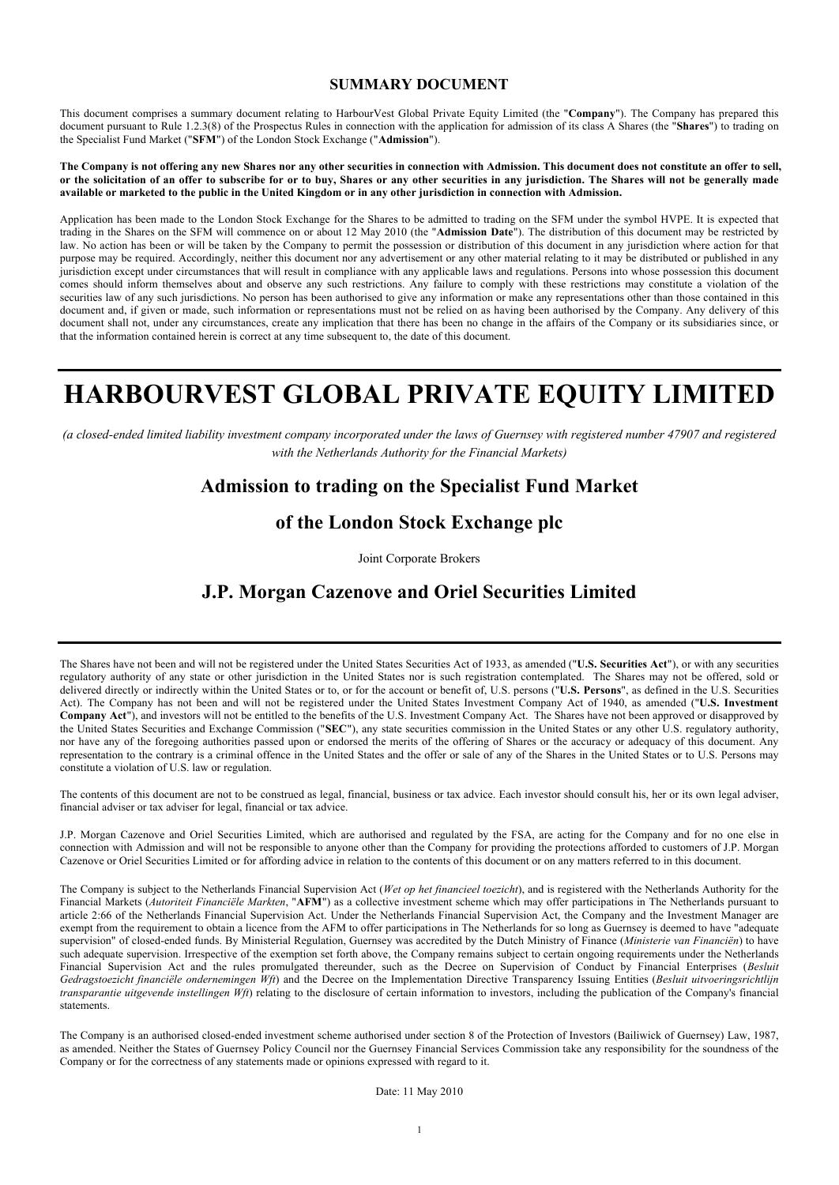#### **SUMMARY DOCUMENT**

This document comprises a summary document relating to HarbourVest Global Private Equity Limited (the "**Company**"). The Company has prepared this document pursuant to Rule 1.2.3(8) of the Prospectus Rules in connection with the application for admission of its class A Shares (the "**Shares**") to trading on the Specialist Fund Market ("**SFM**") of the London Stock Exchange ("**Admission**").

**The Company is not offering any new Shares nor any other securities in connection with Admission. This document does not constitute an offer to sell, or the solicitation of an offer to subscribe for or to buy, Shares or any other securities in any jurisdiction. The Shares will not be generally made available or marketed to the public in the United Kingdom or in any other jurisdiction in connection with Admission.**

Application has been made to the London Stock Exchange for the Shares to be admitted to trading on the SFM under the symbol HVPE. It is expected that trading in the Shares on the SFM will commence on or about 12 May 2010 (the "**Admission Date**"). The distribution of this document may be restricted by law. No action has been or will be taken by the Company to permit the possession or distribution of this document in any jurisdiction where action for that purpose may be required. Accordingly, neither this document nor any advertisement or any other material relating to it may be distributed or published in any jurisdiction except under circumstances that will result in compliance with any applicable laws and regulations. Persons into whose possession this document comes should inform themselves about and observe any such restrictions. Any failure to comply with these restrictions may constitute a violation of the securities law of any such jurisdictions. No person has been authorised to give any information or make any representations other than those contained in this document and, if given or made, such information or representations must not be relied on as having been authorised by the Company. Any delivery of this document shall not, under any circumstances, create any implication that there has been no change in the affairs of the Company or its subsidiaries since, or that the information contained herein is correct at any time subsequent to, the date of this document.

# **HARBOURVEST GLOBAL PRIVATE EQUITY LIMITED**

*(a closed-ended limited liability investment company incorporated under the laws of Guernsey with registered number 47907 and registered with the Netherlands Authority for the Financial Markets)*

# **Admission to trading on the Specialist Fund Market**

# **of the London Stock Exchange plc**

Joint Corporate Brokers

# **J.P. Morgan Cazenove and Oriel Securities Limited**

The Shares have not been and will not be registered under the United States Securities Act of 1933, as amended ("**U.S. Securities Act**"), or with any securities regulatory authority of any state or other jurisdiction in the United States nor is such registration contemplated. The Shares may not be offered, sold or delivered directly or indirectly within the United States or to, or for the account or benefit of, U.S. persons ("**U.S. Persons**", as defined in the U.S. Securities Act). The Company has not been and will not be registered under the United States Investment Company Act of 1940, as amended ("**U.S. Investment Company Act**"), and investors will not be entitled to the benefits of the U.S. Investment Company Act. The Shares have not been approved or disapproved by the United States Securities and Exchange Commission ("**SEC**"), any state securities commission in the United States or any other U.S. regulatory authority, nor have any of the foregoing authorities passed upon or endorsed the merits of the offering of Shares or the accuracy or adequacy of this document. Any representation to the contrary is a criminal offence in the United States and the offer or sale of any of the Shares in the United States or to U.S. Persons may constitute a violation of U.S. law or regulation.

The contents of this document are not to be construed as legal, financial, business or tax advice. Each investor should consult his, her or its own legal adviser, financial adviser or tax adviser for legal, financial or tax advice.

J.P. Morgan Cazenove and Oriel Securities Limited, which are authorised and regulated by the FSA, are acting for the Company and for no one else in connection with Admission and will not be responsible to anyone other than the Company for providing the protections afforded to customers of J.P. Morgan Cazenove or Oriel Securities Limited or for affording advice in relation to the contents of this document or on any matters referred to in this document.

The Company is subject to the Netherlands Financial Supervision Act (*Wet op het financieel toezicht*), and is registered with the Netherlands Authority for the Financial Markets (*Autoriteit Financiële Markten*, "**AFM**") as a collective investment scheme which may offer participations in The Netherlands pursuant to article 2:66 of the Netherlands Financial Supervision Act. Under the Netherlands Financial Supervision Act, the Company and the Investment Manager are exempt from the requirement to obtain a licence from the AFM to offer participations in The Netherlands for so long as Guernsey is deemed to have "adequate supervision" of closed-ended funds. By Ministerial Regulation, Guernsey was accredited by the Dutch Ministry of Finance (*Ministerie van Financiën*) to have such adequate supervision. Irrespective of the exemption set forth above, the Company remains subject to certain ongoing requirements under the Netherlands Financial Supervision Act and the rules promulgated thereunder, such as the Decree on Supervision of Conduct by Financial Enterprises (*Besluit Gedragstoezicht financiële ondernemingen Wft*) and the Decree on the Implementation Directive Transparency Issuing Entities (*Besluit uitvoeringsrichtlijn transparantie uitgevende instellingen Wft*) relating to the disclosure of certain information to investors, including the publication of the Company's financial statements.

The Company is an authorised closed-ended investment scheme authorised under section 8 of the Protection of Investors (Bailiwick of Guernsey) Law, 1987, as amended. Neither the States of Guernsey Policy Council nor the Guernsey Financial Services Commission take any responsibility for the soundness of the Company or for the correctness of any statements made or opinions expressed with regard to it.

Date: 11 May 2010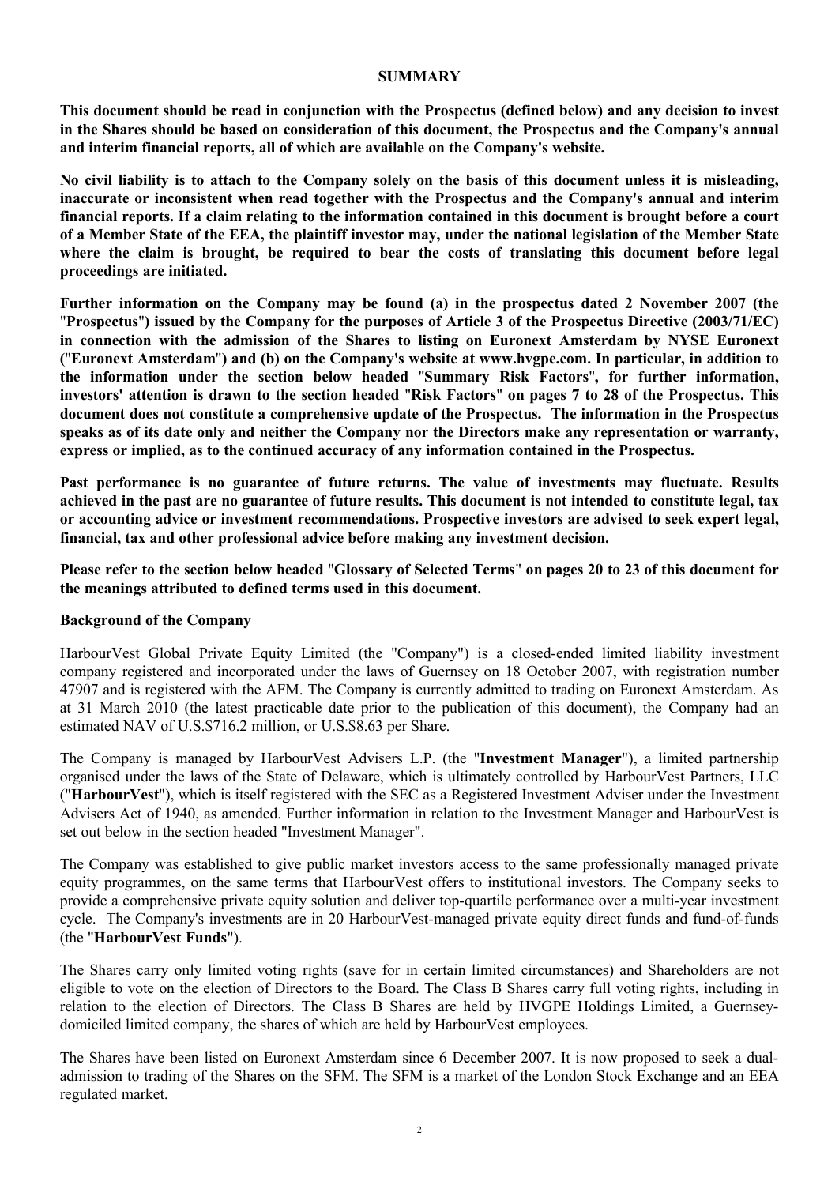#### **SUMMARY**

**This document should be read in conjunction with the Prospectus (defined below) and any decision to invest in the Shares should be based on consideration of this document, the Prospectus and the Company's annual and interim financial reports, all of which are available on the Company's website.**

**No civil liability is to attach to the Company solely on the basis of this document unless it is misleading, inaccurate or inconsistent when read together with the Prospectus and the Company's annual and interim financial reports. If a claim relating to the information contained in this document is brought before a court of a Member State of the EEA, the plaintiff investor may, under the national legislation of the Member State where the claim is brought, be required to bear the costs of translating this document before legal proceedings are initiated.**

**Further information on the Company may be found (a) in the prospectus dated 2 November 2007 (the**  "**Prospectus**"**) issued by the Company for the purposes of Article 3 of the Prospectus Directive (2003/71/EC) in connection with the admission of the Shares to listing on Euronext Amsterdam by NYSE Euronext (**"**Euronext Amsterdam**"**) and (b) on the Company's website at <www.hvgpe.com.>In particular, in addition to the information under the section below headed** "**Summary Risk Factors**"**, for further information, investors' attention is drawn to the section headed** "**Risk Factors**" **on pages 7 to 28 of the Prospectus. This document does not constitute a comprehensive update of the Prospectus. The information in the Prospectus speaks as of its date only and neither the Company nor the Directors make any representation or warranty, express or implied, as to the continued accuracy of any information contained in the Prospectus.** 

**Past performance is no guarantee of future returns. The value of investments may fluctuate. Results achieved in the past are no guarantee of future results. This document is not intended to constitute legal, tax or accounting advice or investment recommendations. Prospective investors are advised to seek expert legal, financial, tax and other professional advice before making any investment decision.** 

**Please refer to the section below headed** "**Glossary of Selected Terms**" **on pages 20 to 23 of this document for the meanings attributed to defined terms used in this document.**

#### **Background of the Company**

HarbourVest Global Private Equity Limited (the "Company") is a closed-ended limited liability investment company registered and incorporated under the laws of Guernsey on 18 October 2007, with registration number 47907 and is registered with the AFM. The Company is currently admitted to trading on Euronext Amsterdam. As at 31 March 2010 (the latest practicable date prior to the publication of this document), the Company had an estimated NAV of U.S.\$716.2 million, or U.S.\$8.63 per Share.

The Company is managed by HarbourVest Advisers L.P. (the "**Investment Manager**"), a limited partnership organised under the laws of the State of Delaware, which is ultimately controlled by HarbourVest Partners, LLC ("**HarbourVest**"), which is itself registered with the SEC as a Registered Investment Adviser under the Investment Advisers Act of 1940, as amended. Further information in relation to the Investment Manager and HarbourVest is set out below in the section headed "Investment Manager".

The Company was established to give public market investors access to the same professionally managed private equity programmes, on the same terms that HarbourVest offers to institutional investors. The Company seeks to provide a comprehensive private equity solution and deliver top-quartile performance over a multi-year investment cycle. The Company's investments are in 20 HarbourVest-managed private equity direct funds and fund-of-funds (the "**HarbourVest Funds**").

The Shares carry only limited voting rights (save for in certain limited circumstances) and Shareholders are not eligible to vote on the election of Directors to the Board. The Class B Shares carry full voting rights, including in relation to the election of Directors. The Class B Shares are held by HVGPE Holdings Limited, a Guernseydomiciled limited company, the shares of which are held by HarbourVest employees.

The Shares have been listed on Euronext Amsterdam since 6 December 2007. It is now proposed to seek a dualadmission to trading of the Shares on the SFM. The SFM is a market of the London Stock Exchange and an EEA regulated market.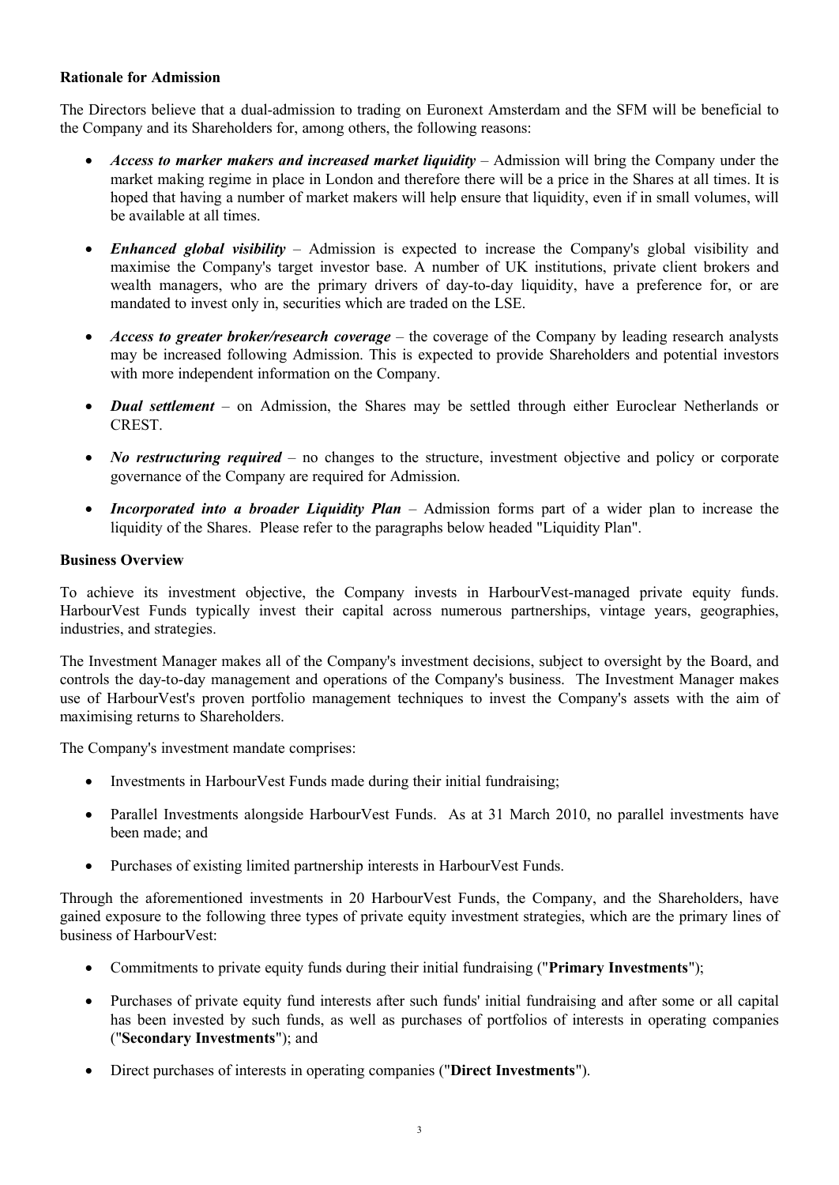#### **Rationale for Admission**

The Directors believe that a dual-admission to trading on Euronext Amsterdam and the SFM will be beneficial to the Company and its Shareholders for, among others, the following reasons:

- · *Access to marker makers and increased market liquidity* Admission will bring the Company under the market making regime in place in London and therefore there will be a price in the Shares at all times. It is hoped that having a number of market makers will help ensure that liquidity, even if in small volumes, will be available at all times.
- · *Enhanced global visibility* Admission is expected to increase the Company's global visibility and maximise the Company's target investor base. A number of UK institutions, private client brokers and wealth managers, who are the primary drivers of day-to-day liquidity, have a preference for, or are mandated to invest only in, securities which are traded on the LSE.
- · *Access to greater broker/research coverage* the coverage of the Company by leading research analysts may be increased following Admission. This is expected to provide Shareholders and potential investors with more independent information on the Company.
- · *Dual settlement* on Admission, the Shares may be settled through either Euroclear Netherlands or CREST.
- *No restructuring required* no changes to the structure, investment objective and policy or corporate governance of the Company are required for Admission.
- · *Incorporated into a broader Liquidity Plan* Admission forms part of a wider plan to increase the liquidity of the Shares. Please refer to the paragraphs below headed "Liquidity Plan".

## **Business Overview**

To achieve its investment objective, the Company invests in HarbourVest-managed private equity funds. HarbourVest Funds typically invest their capital across numerous partnerships, vintage years, geographies, industries, and strategies.

The Investment Manager makes all of the Company's investment decisions, subject to oversight by the Board, and controls the day-to-day management and operations of the Company's business. The Investment Manager makes use of HarbourVest's proven portfolio management techniques to invest the Company's assets with the aim of maximising returns to Shareholders.

The Company's investment mandate comprises:

- Investments in HarbourVest Funds made during their initial fundraising;
- · Parallel Investments alongside HarbourVest Funds. As at 31 March 2010, no parallel investments have been made; and
- · Purchases of existing limited partnership interests in HarbourVest Funds.

Through the aforementioned investments in 20 HarbourVest Funds, the Company, and the Shareholders, have gained exposure to the following three types of private equity investment strategies, which are the primary lines of business of HarbourVest:

- · Commitments to private equity funds during their initial fundraising ("**Primary Investments**");
- · Purchases of private equity fund interests after such funds' initial fundraising and after some or all capital has been invested by such funds, as well as purchases of portfolios of interests in operating companies ("**Secondary Investments**"); and
- · Direct purchases of interests in operating companies ("**Direct Investments**").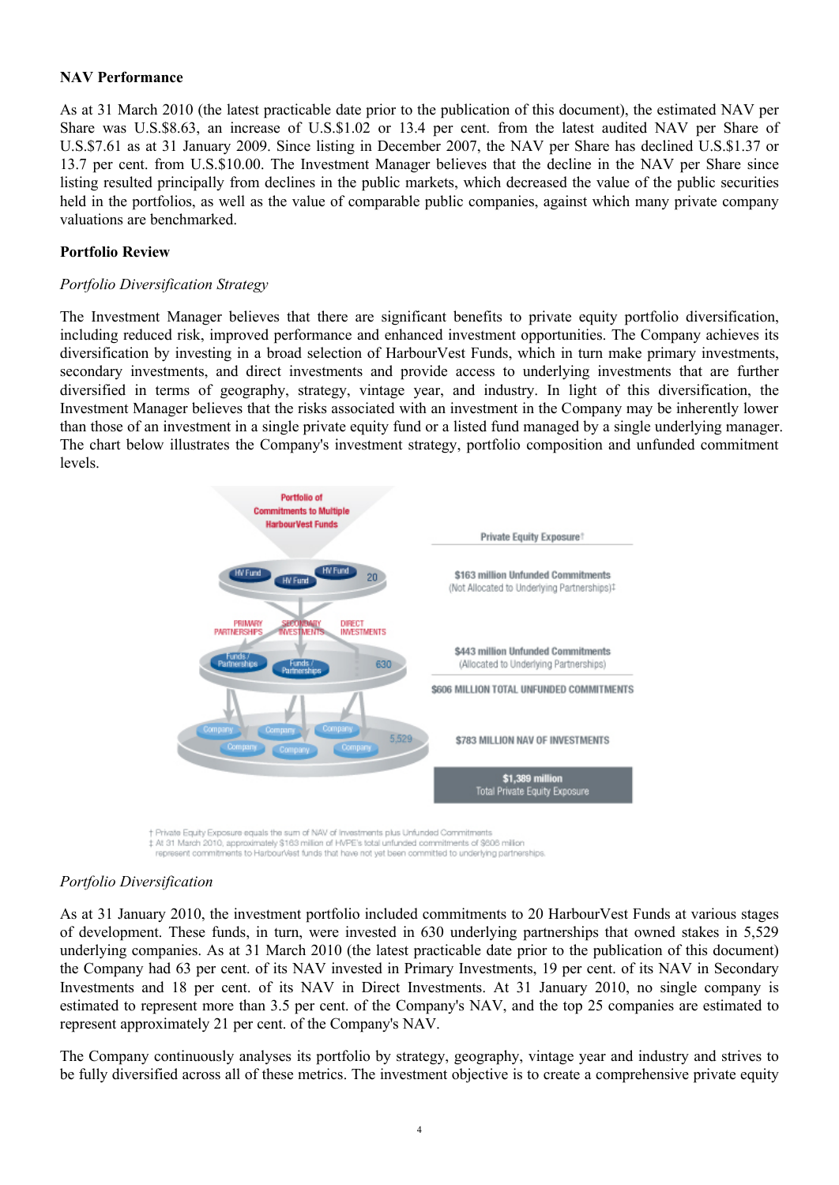#### **NAV Performance**

As at 31 March 2010 (the latest practicable date prior to the publication of this document), the estimated NAV per Share was U.S.\$8.63, an increase of U.S.\$1.02 or 13.4 per cent. from the latest audited NAV per Share of U.S.\$7.61 as at 31 January 2009. Since listing in December 2007, the NAV per Share has declined U.S.\$1.37 or 13.7 per cent. from U.S.\$10.00. The Investment Manager believes that the decline in the NAV per Share since listing resulted principally from declines in the public markets, which decreased the value of the public securities held in the portfolios, as well as the value of comparable public companies, against which many private company valuations are benchmarked.

## **Portfolio Review**

#### *Portfolio Diversification Strategy*

The Investment Manager believes that there are significant benefits to private equity portfolio diversification, including reduced risk, improved performance and enhanced investment opportunities. The Company achieves its diversification by investing in a broad selection of HarbourVest Funds, which in turn make primary investments, secondary investments, and direct investments and provide access to underlying investments that are further diversified in terms of geography, strategy, vintage year, and industry. In light of this diversification, the Investment Manager believes that the risks associated with an investment in the Company may be inherently lower than those of an investment in a single private equity fund or a listed fund managed by a single underlying manager. The chart below illustrates the Company's investment strategy, portfolio composition and unfunded commitment levels.



† Private Equity Exposure equals the sum of NAV of Investments plus Unfunded Commitments<br>‡ Al 31 March 2010, approximately \$163 million of HVPE's total unfunded commitments of \$606 million represent commitments to HarbourVest funds that have not yet been committed to underlying partnerships.

#### *Portfolio Diversification*

As at 31 January 2010, the investment portfolio included commitments to 20 HarbourVest Funds at various stages of development. These funds, in turn, were invested in 630 underlying partnerships that owned stakes in 5,529 underlying companies. As at 31 March 2010 (the latest practicable date prior to the publication of this document) the Company had 63 per cent. of its NAV invested in Primary Investments, 19 per cent. of its NAV in Secondary Investments and 18 per cent. of its NAV in Direct Investments. At 31 January 2010, no single company is estimated to represent more than 3.5 per cent. of the Company's NAV, and the top 25 companies are estimated to represent approximately 21 per cent. of the Company's NAV.

The Company continuously analyses its portfolio by strategy, geography, vintage year and industry and strives to be fully diversified across all of these metrics. The investment objective is to create a comprehensive private equity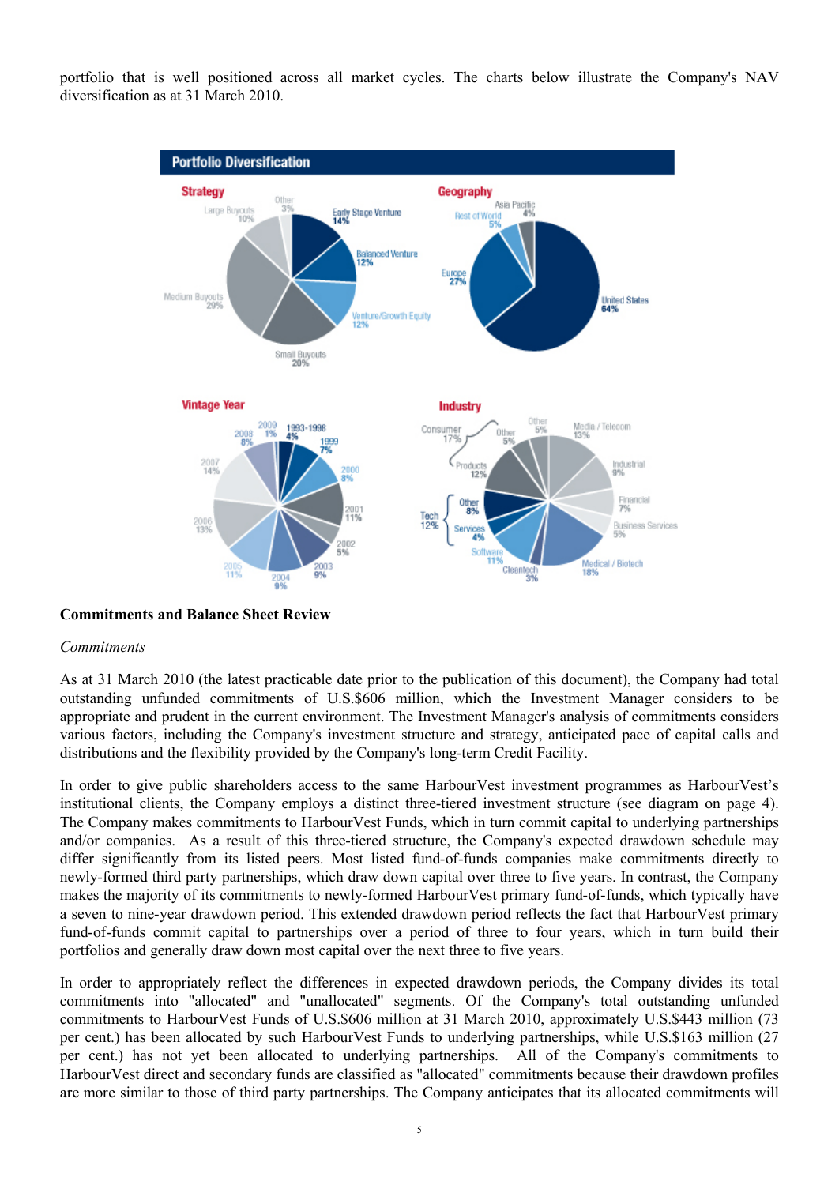portfolio that is well positioned across all market cycles. The charts below illustrate the Company's NAV diversification as at 31 March 2010.



#### **Commitments and Balance Sheet Review**

#### *Commitments*

As at 31 March 2010 (the latest practicable date prior to the publication of this document), the Company had total outstanding unfunded commitments of U.S.\$606 million, which the Investment Manager considers to be appropriate and prudent in the current environment. The Investment Manager's analysis of commitments considers various factors, including the Company's investment structure and strategy, anticipated pace of capital calls and distributions and the flexibility provided by the Company's long-term Credit Facility.

In order to give public shareholders access to the same HarbourVest investment programmes as HarbourVest's institutional clients, the Company employs a distinct three-tiered investment structure (see diagram on page 4). The Company makes commitments to HarbourVest Funds, which in turn commit capital to underlying partnerships and/or companies. As a result of this three-tiered structure, the Company's expected drawdown schedule may differ significantly from its listed peers. Most listed fund-of-funds companies make commitments directly to newly-formed third party partnerships, which draw down capital over three to five years. In contrast, the Company makes the majority of its commitments to newly-formed HarbourVest primary fund-of-funds, which typically have a seven to nine-year drawdown period. This extended drawdown period reflects the fact that HarbourVest primary fund-of-funds commit capital to partnerships over a period of three to four years, which in turn build their portfolios and generally draw down most capital over the next three to five years.

In order to appropriately reflect the differences in expected drawdown periods, the Company divides its total commitments into "allocated" and "unallocated" segments. Of the Company's total outstanding unfunded commitments to HarbourVest Funds of U.S.\$606 million at 31 March 2010, approximately U.S.\$443 million (73 per cent.) has been allocated by such HarbourVest Funds to underlying partnerships, while U.S.\$163 million (27 per cent.) has not yet been allocated to underlying partnerships. All of the Company's commitments to HarbourVest direct and secondary funds are classified as "allocated" commitments because their drawdown profiles are more similar to those of third party partnerships. The Company anticipates that its allocated commitments will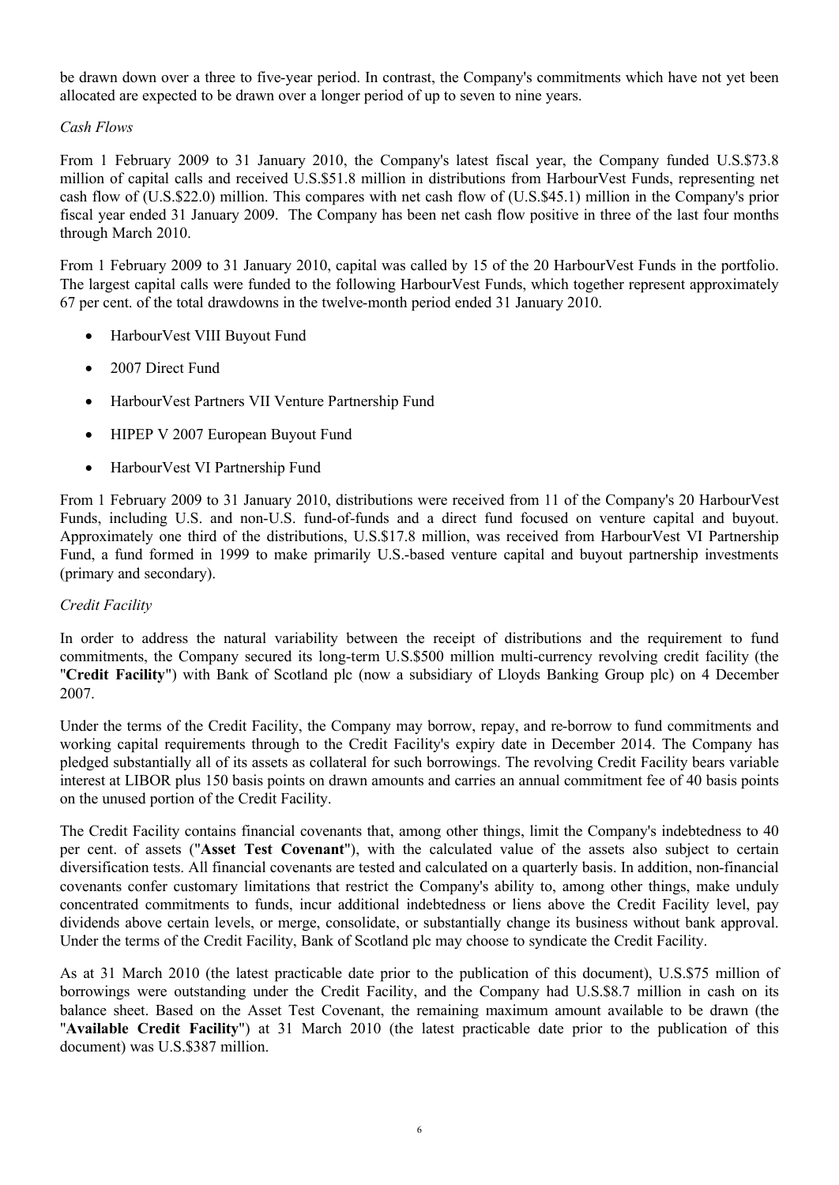be drawn down over a three to five-year period. In contrast, the Company's commitments which have not yet been allocated are expected to be drawn over a longer period of up to seven to nine years.

## *Cash Flows*

From 1 February 2009 to 31 January 2010, the Company's latest fiscal year, the Company funded U.S.\$73.8 million of capital calls and received U.S.\$51.8 million in distributions from HarbourVest Funds, representing net cash flow of (U.S.\$22.0) million. This compares with net cash flow of (U.S.\$45.1) million in the Company's prior fiscal year ended 31 January 2009. The Company has been net cash flow positive in three of the last four months through March 2010.

From 1 February 2009 to 31 January 2010, capital was called by 15 of the 20 HarbourVest Funds in the portfolio. The largest capital calls were funded to the following HarbourVest Funds, which together represent approximately 67 per cent. of the total drawdowns in the twelve-month period ended 31 January 2010.

- · HarbourVest VIII Buyout Fund
- 2007 Direct Fund
- · HarbourVest Partners VII Venture Partnership Fund
- HIPEP V 2007 European Buyout Fund
- · HarbourVest VI Partnership Fund

From 1 February 2009 to 31 January 2010, distributions were received from 11 of the Company's 20 HarbourVest Funds, including U.S. and non-U.S. fund-of-funds and a direct fund focused on venture capital and buyout. Approximately one third of the distributions, U.S.\$17.8 million, was received from HarbourVest VI Partnership Fund, a fund formed in 1999 to make primarily U.S.-based venture capital and buyout partnership investments (primary and secondary).

# *Credit Facility*

In order to address the natural variability between the receipt of distributions and the requirement to fund commitments, the Company secured its long-term U.S.\$500 million multi-currency revolving credit facility (the "**Credit Facility**") with Bank of Scotland plc (now a subsidiary of Lloyds Banking Group plc) on 4 December 2007.

Under the terms of the Credit Facility, the Company may borrow, repay, and re-borrow to fund commitments and working capital requirements through to the Credit Facility's expiry date in December 2014. The Company has pledged substantially all of its assets as collateral for such borrowings. The revolving Credit Facility bears variable interest at LIBOR plus 150 basis points on drawn amounts and carries an annual commitment fee of 40 basis points on the unused portion of the Credit Facility.

The Credit Facility contains financial covenants that, among other things, limit the Company's indebtedness to 40 per cent. of assets ("**Asset Test Covenant**"), with the calculated value of the assets also subject to certain diversification tests. All financial covenants are tested and calculated on a quarterly basis. In addition, non-financial covenants confer customary limitations that restrict the Company's ability to, among other things, make unduly concentrated commitments to funds, incur additional indebtedness or liens above the Credit Facility level, pay dividends above certain levels, or merge, consolidate, or substantially change its business without bank approval. Under the terms of the Credit Facility, Bank of Scotland plc may choose to syndicate the Credit Facility.

As at 31 March 2010 (the latest practicable date prior to the publication of this document), U.S.\$75 million of borrowings were outstanding under the Credit Facility, and the Company had U.S.\$8.7 million in cash on its balance sheet. Based on the Asset Test Covenant, the remaining maximum amount available to be drawn (the "**Available Credit Facility**") at 31 March 2010 (the latest practicable date prior to the publication of this document) was U.S.\$387 million.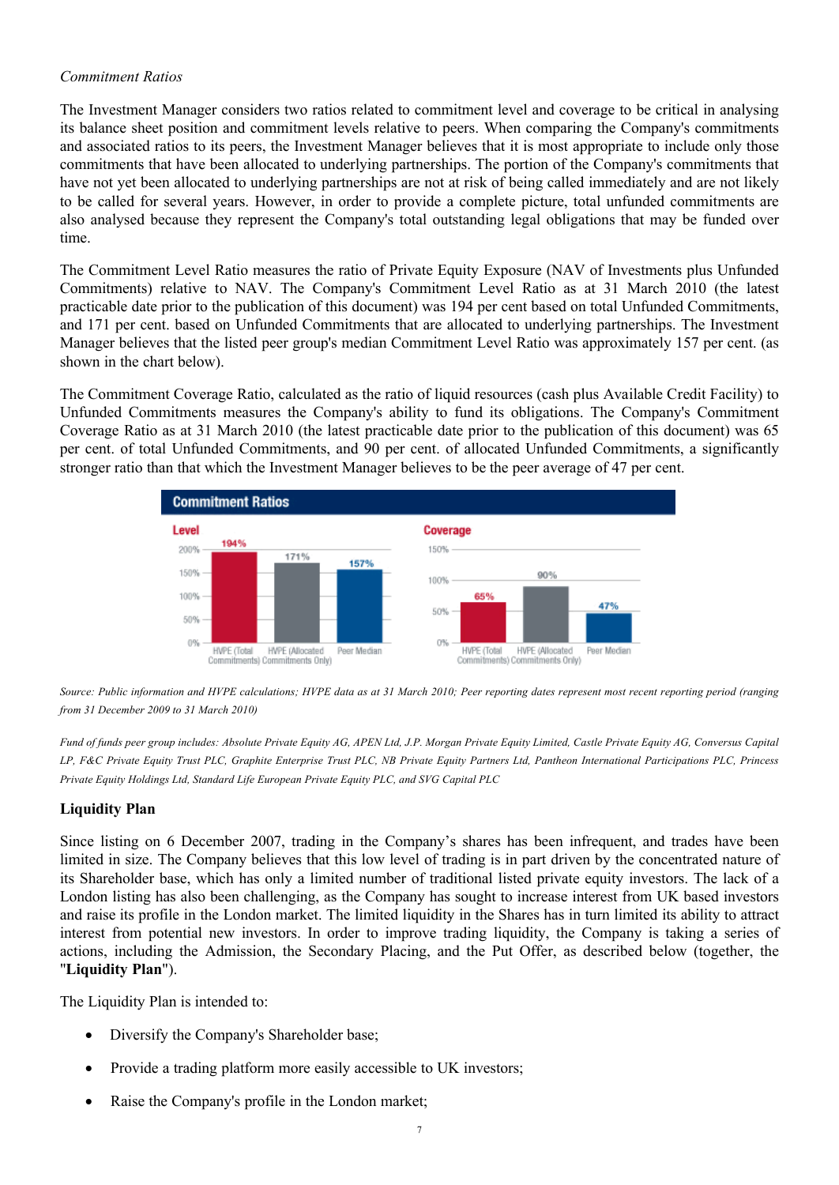# *Commitment Ratios*

The Investment Manager considers two ratios related to commitment level and coverage to be critical in analysing its balance sheet position and commitment levels relative to peers. When comparing the Company's commitments and associated ratios to its peers, the Investment Manager believes that it is most appropriate to include only those commitments that have been allocated to underlying partnerships. The portion of the Company's commitments that have not yet been allocated to underlying partnerships are not at risk of being called immediately and are not likely to be called for several years. However, in order to provide a complete picture, total unfunded commitments are also analysed because they represent the Company's total outstanding legal obligations that may be funded over time.

The Commitment Level Ratio measures the ratio of Private Equity Exposure (NAV of Investments plus Unfunded Commitments) relative to NAV. The Company's Commitment Level Ratio as at 31 March 2010 (the latest practicable date prior to the publication of this document) was 194 per cent based on total Unfunded Commitments, and 171 per cent. based on Unfunded Commitments that are allocated to underlying partnerships. The Investment Manager believes that the listed peer group's median Commitment Level Ratio was approximately 157 per cent. (as shown in the chart below).

The Commitment Coverage Ratio, calculated as the ratio of liquid resources (cash plus Available Credit Facility) to Unfunded Commitments measures the Company's ability to fund its obligations. The Company's Commitment Coverage Ratio as at 31 March 2010 (the latest practicable date prior to the publication of this document) was 65 per cent. of total Unfunded Commitments, and 90 per cent. of allocated Unfunded Commitments, a significantly stronger ratio than that which the Investment Manager believes to be the peer average of 47 per cent.



*Source: Public information and HVPE calculations; HVPE data as at 31 March 2010; Peer reporting dates represent most recent reporting period (ranging from 31 December 2009 to 31 March 2010)*

*Fund of funds peer group includes: Absolute Private Equity AG, APEN Ltd, J.P. Morgan Private Equity Limited, Castle Private Equity AG, Conversus Capital LP, F&C Private Equity Trust PLC, Graphite Enterprise Trust PLC, NB Private Equity Partners Ltd, Pantheon International Participations PLC, Princess Private Equity Holdings Ltd, Standard Life European Private Equity PLC, and SVG Capital PLC*

# **Liquidity Plan**

Since listing on 6 December 2007, trading in the Company's shares has been infrequent, and trades have been limited in size. The Company believes that this low level of trading is in part driven by the concentrated nature of its Shareholder base, which has only a limited number of traditional listed private equity investors. The lack of a London listing has also been challenging, as the Company has sought to increase interest from UK based investors and raise its profile in the London market. The limited liquidity in the Shares has in turn limited its ability to attract interest from potential new investors. In order to improve trading liquidity, the Company is taking a series of actions, including the Admission, the Secondary Placing, and the Put Offer, as described below (together, the "**Liquidity Plan**").

The Liquidity Plan is intended to:

- Diversify the Company's Shareholder base;
- Provide a trading platform more easily accessible to UK investors;
- Raise the Company's profile in the London market;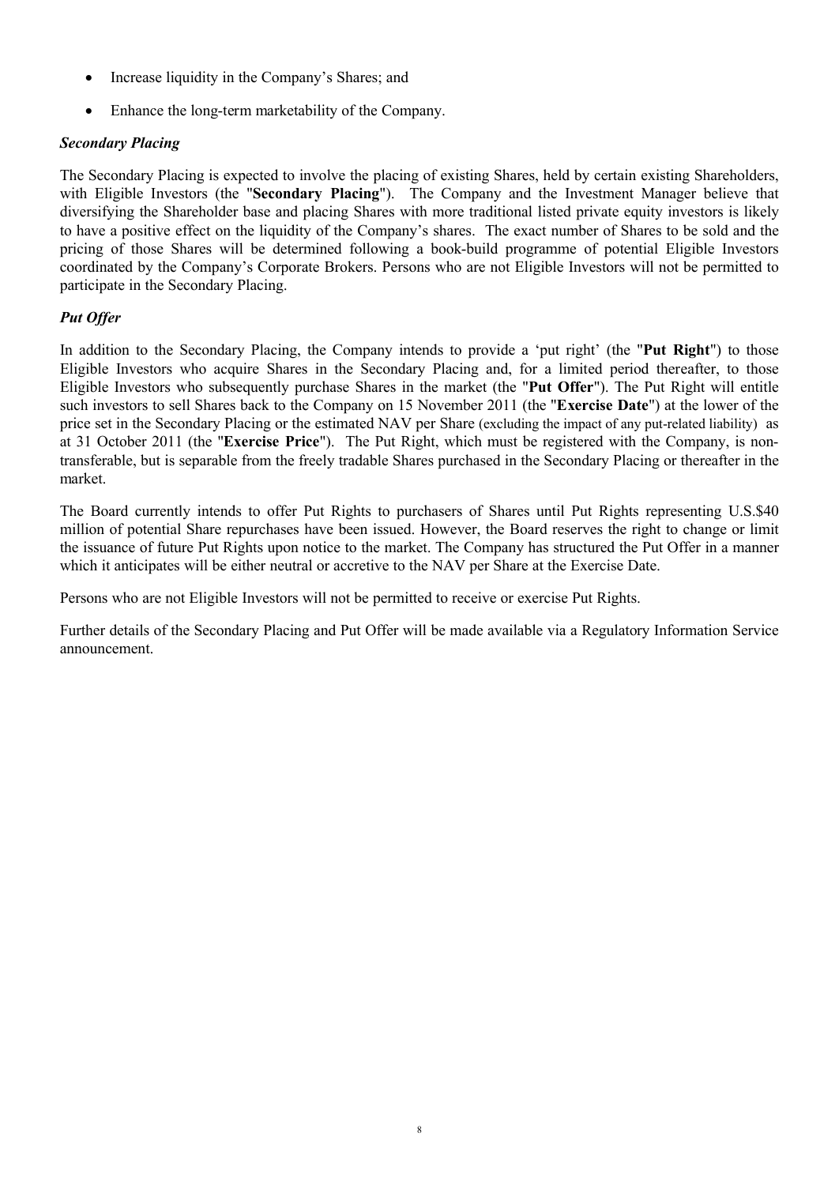- Increase liquidity in the Company's Shares; and
- Enhance the long-term marketability of the Company.

# *Secondary Placing*

The Secondary Placing is expected to involve the placing of existing Shares, held by certain existing Shareholders, with Eligible Investors (the "**Secondary Placing**"). The Company and the Investment Manager believe that diversifying the Shareholder base and placing Shares with more traditional listed private equity investors is likely to have a positive effect on the liquidity of the Company's shares. The exact number of Shares to be sold and the pricing of those Shares will be determined following a book-build programme of potential Eligible Investors coordinated by the Company's Corporate Brokers. Persons who are not Eligible Investors will not be permitted to participate in the Secondary Placing.

# *Put Offer*

In addition to the Secondary Placing, the Company intends to provide a 'put right' (the "**Put Right**") to those Eligible Investors who acquire Shares in the Secondary Placing and, for a limited period thereafter, to those Eligible Investors who subsequently purchase Shares in the market (the "**Put Offer**"). The Put Right will entitle such investors to sell Shares back to the Company on 15 November 2011 (the "**Exercise Date**") at the lower of the price set in the Secondary Placing or the estimated NAV per Share (excluding the impact of any put-related liability) as at 31 October 2011 (the "**Exercise Price**"). The Put Right, which must be registered with the Company, is nontransferable, but is separable from the freely tradable Shares purchased in the Secondary Placing or thereafter in the market.

The Board currently intends to offer Put Rights to purchasers of Shares until Put Rights representing U.S.\$40 million of potential Share repurchases have been issued. However, the Board reserves the right to change or limit the issuance of future Put Rights upon notice to the market. The Company has structured the Put Offer in a manner which it anticipates will be either neutral or accretive to the NAV per Share at the Exercise Date.

Persons who are not Eligible Investors will not be permitted to receive or exercise Put Rights.

Further details of the Secondary Placing and Put Offer will be made available via a Regulatory Information Service announcement.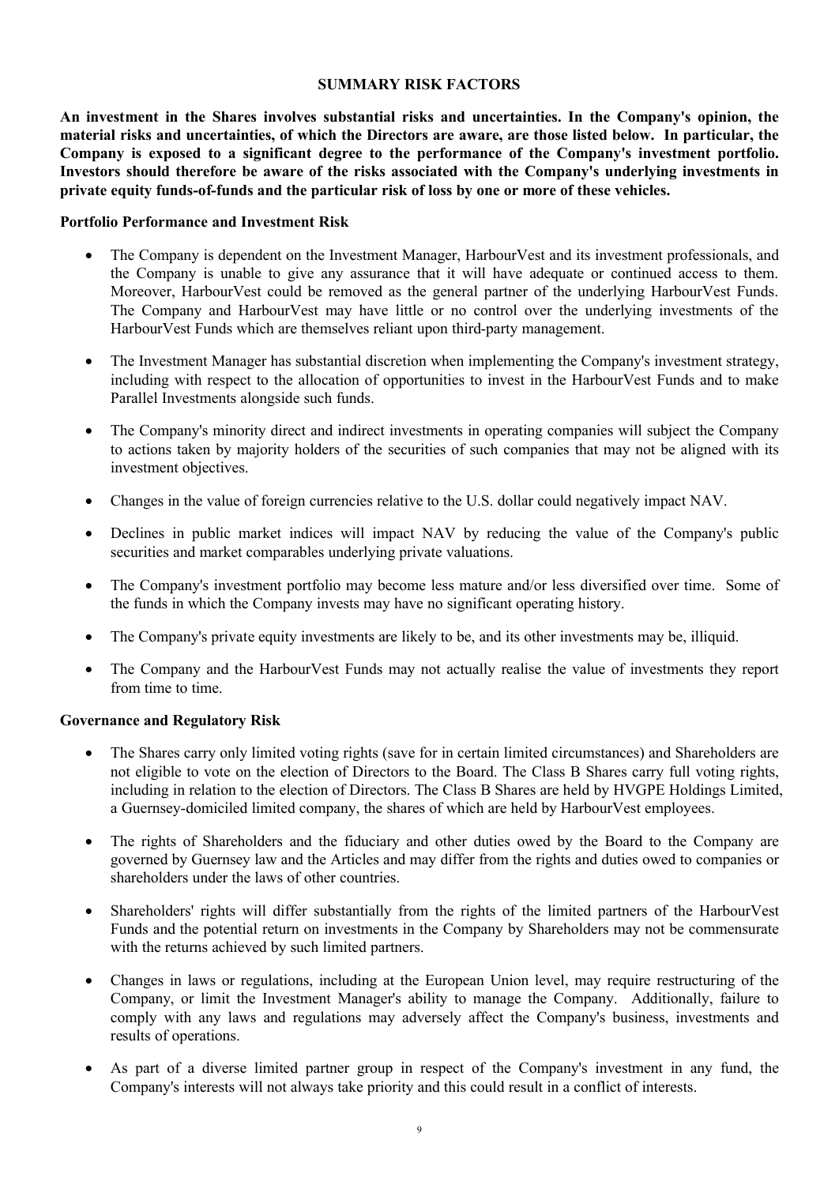#### **SUMMARY RISK FACTORS**

**An investment in the Shares involves substantial risks and uncertainties. In the Company's opinion, the material risks and uncertainties, of which the Directors are aware, are those listed below. In particular, the Company is exposed to a significant degree to the performance of the Company's investment portfolio. Investors should therefore be aware of the risks associated with the Company's underlying investments in private equity funds-of-funds and the particular risk of loss by one or more of these vehicles.** 

#### **Portfolio Performance and Investment Risk**

- The Company is dependent on the Investment Manager, HarbourVest and its investment professionals, and the Company is unable to give any assurance that it will have adequate or continued access to them. Moreover, HarbourVest could be removed as the general partner of the underlying HarbourVest Funds. The Company and HarbourVest may have little or no control over the underlying investments of the HarbourVest Funds which are themselves reliant upon third-party management.
- The Investment Manager has substantial discretion when implementing the Company's investment strategy, including with respect to the allocation of opportunities to invest in the HarbourVest Funds and to make Parallel Investments alongside such funds.
- The Company's minority direct and indirect investments in operating companies will subject the Company to actions taken by majority holders of the securities of such companies that may not be aligned with its investment objectives.
- · Changes in the value of foreign currencies relative to the U.S. dollar could negatively impact NAV.
- Declines in public market indices will impact NAV by reducing the value of the Company's public securities and market comparables underlying private valuations.
- The Company's investment portfolio may become less mature and/or less diversified over time. Some of the funds in which the Company invests may have no significant operating history.
- The Company's private equity investments are likely to be, and its other investments may be, illiquid.
- · The Company and the HarbourVest Funds may not actually realise the value of investments they report from time to time.

#### **Governance and Regulatory Risk**

- · The Shares carry only limited voting rights (save for in certain limited circumstances) and Shareholders are not eligible to vote on the election of Directors to the Board. The Class B Shares carry full voting rights, including in relation to the election of Directors. The Class B Shares are held by HVGPE Holdings Limited, a Guernsey-domiciled limited company, the shares of which are held by HarbourVest employees.
- The rights of Shareholders and the fiduciary and other duties owed by the Board to the Company are governed by Guernsey law and the Articles and may differ from the rights and duties owed to companies or shareholders under the laws of other countries.
- · Shareholders' rights will differ substantially from the rights of the limited partners of the HarbourVest Funds and the potential return on investments in the Company by Shareholders may not be commensurate with the returns achieved by such limited partners.
- · Changes in laws or regulations, including at the European Union level, may require restructuring of the Company, or limit the Investment Manager's ability to manage the Company. Additionally, failure to comply with any laws and regulations may adversely affect the Company's business, investments and results of operations.
- As part of a diverse limited partner group in respect of the Company's investment in any fund, the Company's interests will not always take priority and this could result in a conflict of interests.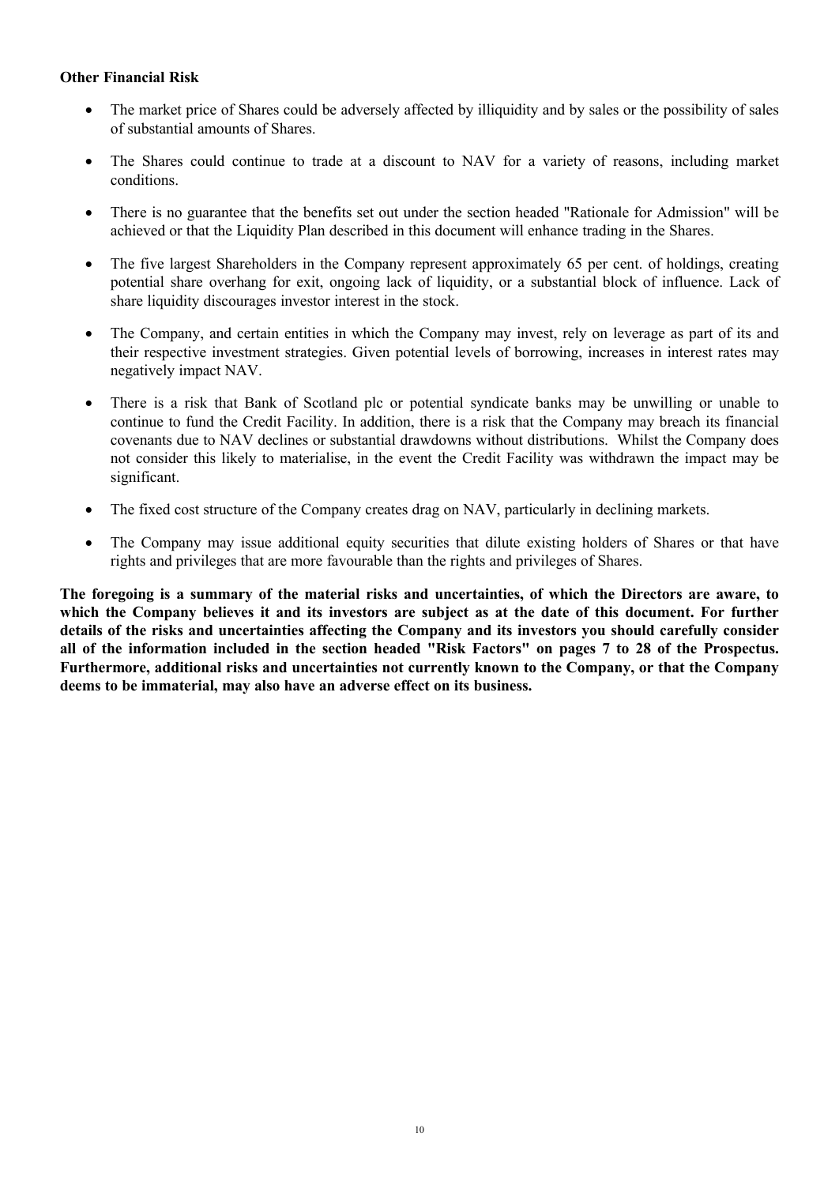## **Other Financial Risk**

- · The market price of Shares could be adversely affected by illiquidity and by sales or the possibility of sales of substantial amounts of Shares.
- The Shares could continue to trade at a discount to NAV for a variety of reasons, including market conditions.
- · There is no guarantee that the benefits set out under the section headed "Rationale for Admission" will be achieved or that the Liquidity Plan described in this document will enhance trading in the Shares.
- The five largest Shareholders in the Company represent approximately 65 per cent. of holdings, creating potential share overhang for exit, ongoing lack of liquidity, or a substantial block of influence. Lack of share liquidity discourages investor interest in the stock.
- The Company, and certain entities in which the Company may invest, rely on leverage as part of its and their respective investment strategies. Given potential levels of borrowing, increases in interest rates may negatively impact NAV.
- · There is a risk that Bank of Scotland plc or potential syndicate banks may be unwilling or unable to continue to fund the Credit Facility. In addition, there is a risk that the Company may breach its financial covenants due to NAV declines or substantial drawdowns without distributions. Whilst the Company does not consider this likely to materialise, in the event the Credit Facility was withdrawn the impact may be significant.
- The fixed cost structure of the Company creates drag on NAV, particularly in declining markets.
- The Company may issue additional equity securities that dilute existing holders of Shares or that have rights and privileges that are more favourable than the rights and privileges of Shares.

**The foregoing is a summary of the material risks and uncertainties, of which the Directors are aware, to which the Company believes it and its investors are subject as at the date of this document. For further details of the risks and uncertainties affecting the Company and its investors you should carefully consider all of the information included in the section headed "Risk Factors" on pages 7 to 28 of the Prospectus. Furthermore, additional risks and uncertainties not currently known to the Company, or that the Company deems to be immaterial, may also have an adverse effect on its business.**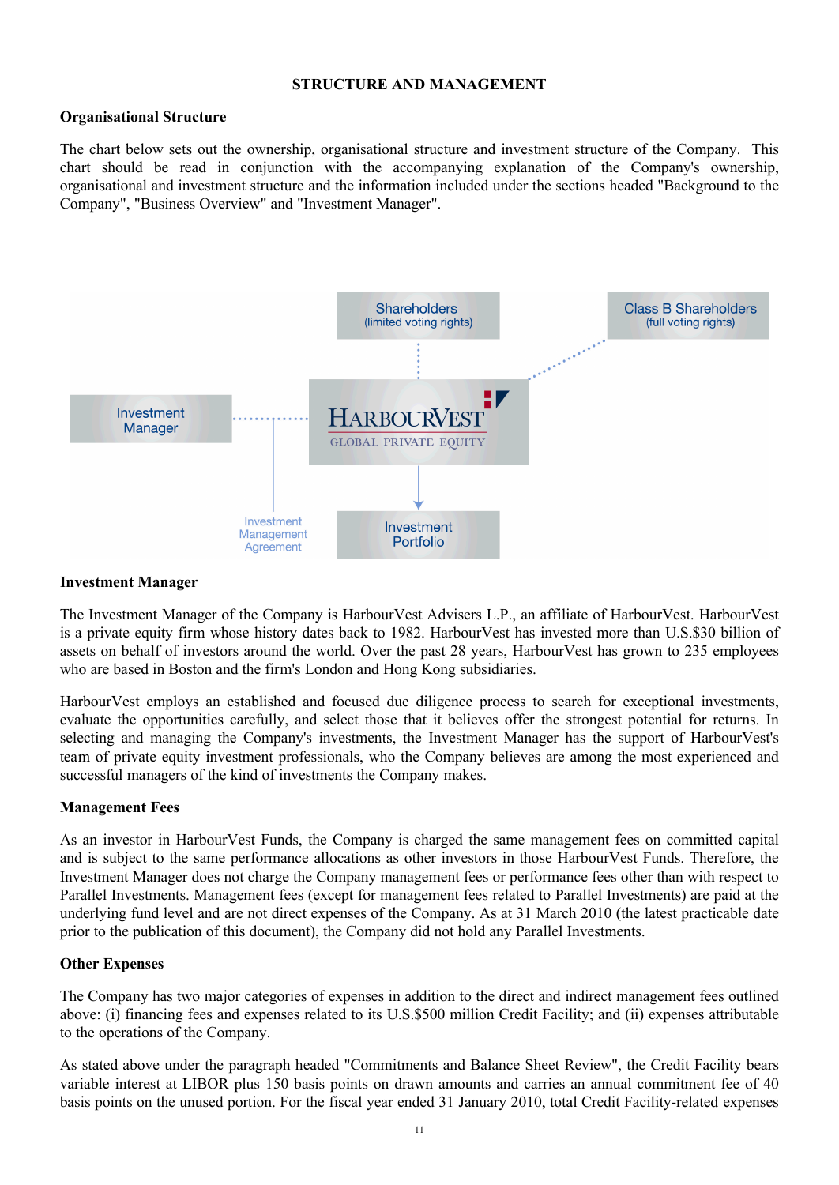#### **STRUCTURE AND MANAGEMENT**

## **Organisational Structure**

The chart below sets out the ownership, organisational structure and investment structure of the Company. This chart should be read in conjunction with the accompanying explanation of the Company's ownership, organisational and investment structure and the information included under the sections headed "Background to the Company", "Business Overview" and "Investment Manager".



#### **Investment Manager**

The Investment Manager of the Company is HarbourVest Advisers L.P., an affiliate of HarbourVest. HarbourVest is a private equity firm whose history dates back to 1982. HarbourVest has invested more than U.S.\$30 billion of assets on behalf of investors around the world. Over the past 28 years, HarbourVest has grown to 235 employees who are based in Boston and the firm's London and Hong Kong subsidiaries.

HarbourVest employs an established and focused due diligence process to search for exceptional investments, evaluate the opportunities carefully, and select those that it believes offer the strongest potential for returns. In selecting and managing the Company's investments, the Investment Manager has the support of HarbourVest's team of private equity investment professionals, who the Company believes are among the most experienced and successful managers of the kind of investments the Company makes.

#### **Management Fees**

As an investor in HarbourVest Funds, the Company is charged the same management fees on committed capital and is subject to the same performance allocations as other investors in those HarbourVest Funds. Therefore, the Investment Manager does not charge the Company management fees or performance fees other than with respect to Parallel Investments. Management fees (except for management fees related to Parallel Investments) are paid at the underlying fund level and are not direct expenses of the Company. As at 31 March 2010 (the latest practicable date prior to the publication of this document), the Company did not hold any Parallel Investments.

# **Other Expenses**

The Company has two major categories of expenses in addition to the direct and indirect management fees outlined above: (i) financing fees and expenses related to its U.S.\$500 million Credit Facility; and (ii) expenses attributable to the operations of the Company.

As stated above under the paragraph headed "Commitments and Balance Sheet Review", the Credit Facility bears variable interest at LIBOR plus 150 basis points on drawn amounts and carries an annual commitment fee of 40 basis points on the unused portion. For the fiscal year ended 31 January 2010, total Credit Facility-related expenses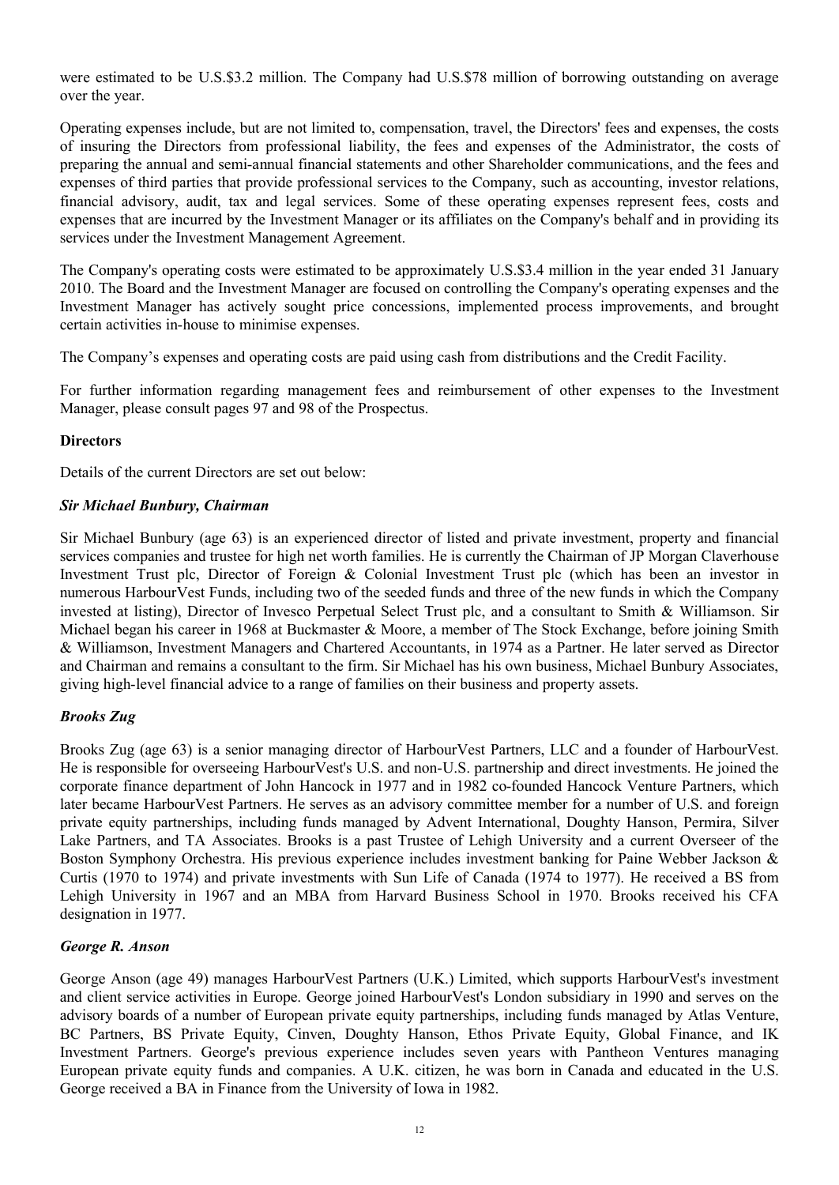were estimated to be U.S.\$3.2 million. The Company had U.S.\$78 million of borrowing outstanding on average over the year.

Operating expenses include, but are not limited to, compensation, travel, the Directors' fees and expenses, the costs of insuring the Directors from professional liability, the fees and expenses of the Administrator, the costs of preparing the annual and semi-annual financial statements and other Shareholder communications, and the fees and expenses of third parties that provide professional services to the Company, such as accounting, investor relations, financial advisory, audit, tax and legal services. Some of these operating expenses represent fees, costs and expenses that are incurred by the Investment Manager or its affiliates on the Company's behalf and in providing its services under the Investment Management Agreement.

The Company's operating costs were estimated to be approximately U.S.\$3.4 million in the year ended 31 January 2010. The Board and the Investment Manager are focused on controlling the Company's operating expenses and the Investment Manager has actively sought price concessions, implemented process improvements, and brought certain activities in-house to minimise expenses.

The Company's expenses and operating costs are paid using cash from distributions and the Credit Facility.

For further information regarding management fees and reimbursement of other expenses to the Investment Manager, please consult pages 97 and 98 of the Prospectus.

# **Directors**

Details of the current Directors are set out below:

## *Sir Michael Bunbury, Chairman*

Sir Michael Bunbury (age 63) is an experienced director of listed and private investment, property and financial services companies and trustee for high net worth families. He is currently the Chairman of JP Morgan Claverhouse Investment Trust plc, Director of Foreign & Colonial Investment Trust plc (which has been an investor in numerous HarbourVest Funds, including two of the seeded funds and three of the new funds in which the Company invested at listing), Director of Invesco Perpetual Select Trust plc, and a consultant to Smith & Williamson. Sir Michael began his career in 1968 at Buckmaster & Moore, a member of The Stock Exchange, before joining Smith & Williamson, Investment Managers and Chartered Accountants, in 1974 as a Partner. He later served as Director and Chairman and remains a consultant to the firm. Sir Michael has his own business, Michael Bunbury Associates, giving high-level financial advice to a range of families on their business and property assets.

# *Brooks Zug*

Brooks Zug (age 63) is a senior managing director of HarbourVest Partners, LLC and a founder of HarbourVest. He is responsible for overseeing HarbourVest's U.S. and non-U.S. partnership and direct investments. He joined the corporate finance department of John Hancock in 1977 and in 1982 co-founded Hancock Venture Partners, which later became HarbourVest Partners. He serves as an advisory committee member for a number of U.S. and foreign private equity partnerships, including funds managed by Advent International, Doughty Hanson, Permira, Silver Lake Partners, and TA Associates. Brooks is a past Trustee of Lehigh University and a current Overseer of the Boston Symphony Orchestra. His previous experience includes investment banking for Paine Webber Jackson & Curtis (1970 to 1974) and private investments with Sun Life of Canada (1974 to 1977). He received a BS from Lehigh University in 1967 and an MBA from Harvard Business School in 1970. Brooks received his CFA designation in 1977.

#### *George R. Anson*

George Anson (age 49) manages HarbourVest Partners (U.K.) Limited, which supports HarbourVest's investment and client service activities in Europe. George joined HarbourVest's London subsidiary in 1990 and serves on the advisory boards of a number of European private equity partnerships, including funds managed by Atlas Venture, BC Partners, BS Private Equity, Cinven, Doughty Hanson, Ethos Private Equity, Global Finance, and IK Investment Partners. George's previous experience includes seven years with Pantheon Ventures managing European private equity funds and companies. A U.K. citizen, he was born in Canada and educated in the U.S. George received a BA in Finance from the University of Iowa in 1982.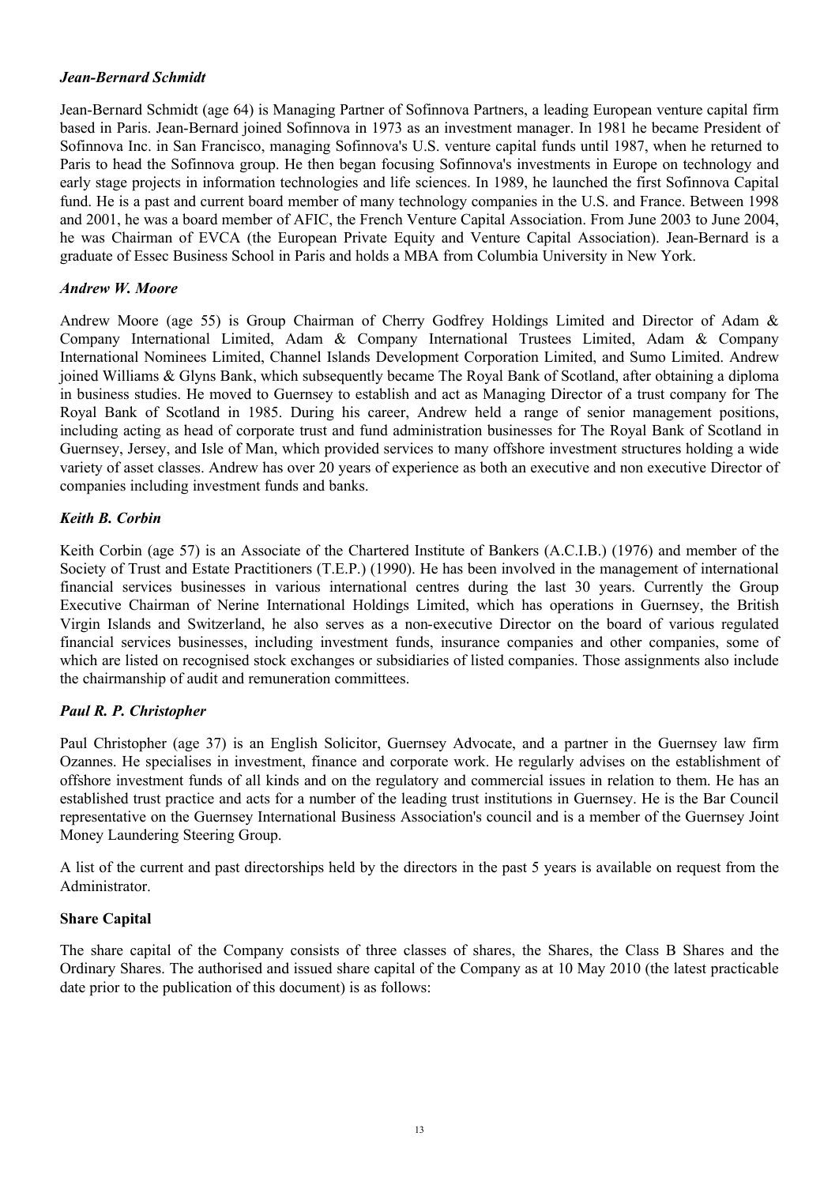## *Jean-Bernard Schmidt*

Jean-Bernard Schmidt (age 64) is Managing Partner of Sofinnova Partners, a leading European venture capital firm based in Paris. Jean-Bernard joined Sofinnova in 1973 as an investment manager. In 1981 he became President of Sofinnova Inc. in San Francisco, managing Sofinnova's U.S. venture capital funds until 1987, when he returned to Paris to head the Sofinnova group. He then began focusing Sofinnova's investments in Europe on technology and early stage projects in information technologies and life sciences. In 1989, he launched the first Sofinnova Capital fund. He is a past and current board member of many technology companies in the U.S. and France. Between 1998 and 2001, he was a board member of AFIC, the French Venture Capital Association. From June 2003 to June 2004, he was Chairman of EVCA (the European Private Equity and Venture Capital Association). Jean-Bernard is a graduate of Essec Business School in Paris and holds a MBA from Columbia University in New York.

## *Andrew W. Moore*

Andrew Moore (age 55) is Group Chairman of Cherry Godfrey Holdings Limited and Director of Adam & Company International Limited, Adam & Company International Trustees Limited, Adam & Company International Nominees Limited, Channel Islands Development Corporation Limited, and Sumo Limited. Andrew joined Williams & Glyns Bank, which subsequently became The Royal Bank of Scotland, after obtaining a diploma in business studies. He moved to Guernsey to establish and act as Managing Director of a trust company for The Royal Bank of Scotland in 1985. During his career, Andrew held a range of senior management positions, including acting as head of corporate trust and fund administration businesses for The Royal Bank of Scotland in Guernsey, Jersey, and Isle of Man, which provided services to many offshore investment structures holding a wide variety of asset classes. Andrew has over 20 years of experience as both an executive and non executive Director of companies including investment funds and banks.

## *Keith B. Corbin*

Keith Corbin (age 57) is an Associate of the Chartered Institute of Bankers (A.C.I.B.) (1976) and member of the Society of Trust and Estate Practitioners (T.E.P.) (1990). He has been involved in the management of international financial services businesses in various international centres during the last 30 years. Currently the Group Executive Chairman of Nerine International Holdings Limited, which has operations in Guernsey, the British Virgin Islands and Switzerland, he also serves as a non-executive Director on the board of various regulated financial services businesses, including investment funds, insurance companies and other companies, some of which are listed on recognised stock exchanges or subsidiaries of listed companies. Those assignments also include the chairmanship of audit and remuneration committees.

# *Paul R. P. Christopher*

Paul Christopher (age 37) is an English Solicitor, Guernsey Advocate, and a partner in the Guernsey law firm Ozannes. He specialises in investment, finance and corporate work. He regularly advises on the establishment of offshore investment funds of all kinds and on the regulatory and commercial issues in relation to them. He has an established trust practice and acts for a number of the leading trust institutions in Guernsey. He is the Bar Council representative on the Guernsey International Business Association's council and is a member of the Guernsey Joint Money Laundering Steering Group.

A list of the current and past directorships held by the directors in the past 5 years is available on request from the Administrator.

#### **Share Capital**

The share capital of the Company consists of three classes of shares, the Shares, the Class B Shares and the Ordinary Shares. The authorised and issued share capital of the Company as at 10 May 2010 (the latest practicable date prior to the publication of this document) is as follows: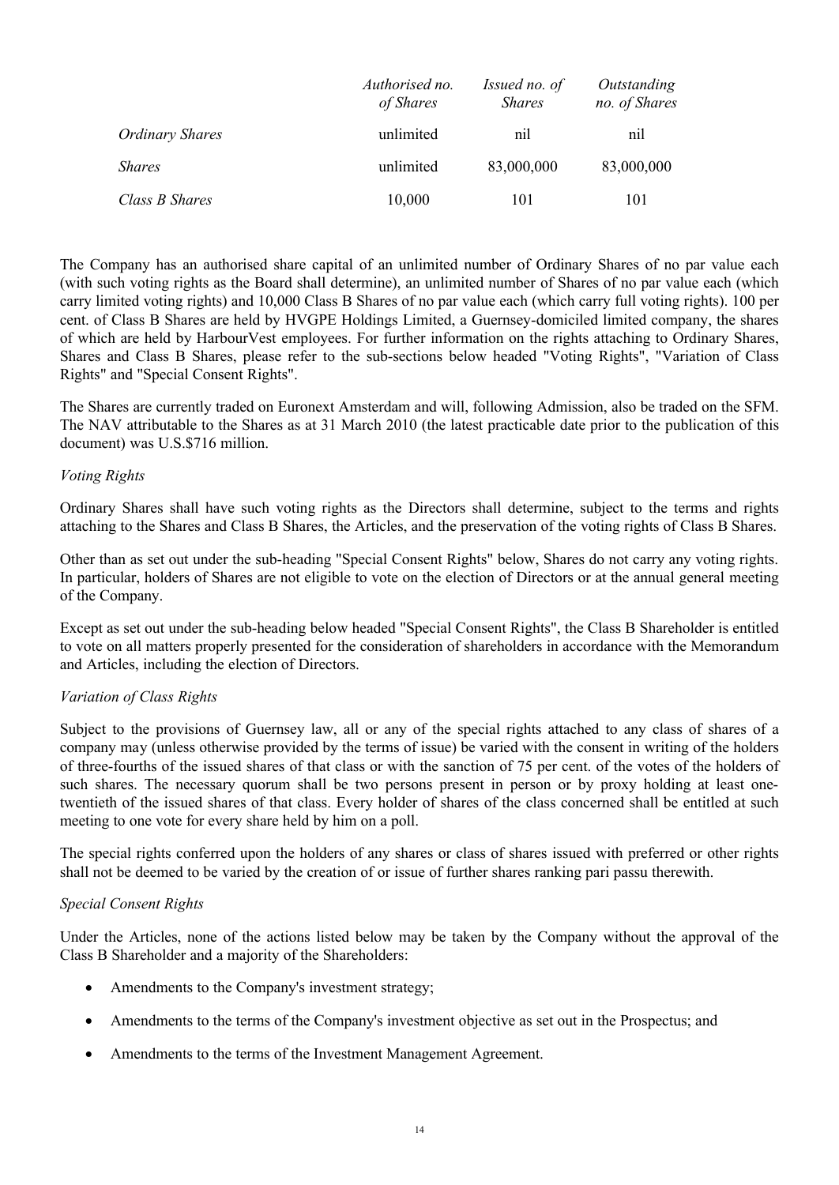|                        | Authorised no.<br>of Shares | Issued no. of<br><i>Shares</i> | Outstanding<br>no. of Shares |
|------------------------|-----------------------------|--------------------------------|------------------------------|
| <b>Ordinary Shares</b> | unlimited                   | nil                            | nil                          |
| <i>Shares</i>          | unlimited                   | 83,000,000                     | 83,000,000                   |
| Class B Shares         | 10,000                      | 101                            | 101                          |

The Company has an authorised share capital of an unlimited number of Ordinary Shares of no par value each (with such voting rights as the Board shall determine), an unlimited number of Shares of no par value each (which carry limited voting rights) and 10,000 Class B Shares of no par value each (which carry full voting rights). 100 per cent. of Class B Shares are held by HVGPE Holdings Limited, a Guernsey-domiciled limited company, the shares of which are held by HarbourVest employees. For further information on the rights attaching to Ordinary Shares, Shares and Class B Shares, please refer to the sub-sections below headed "Voting Rights", "Variation of Class Rights" and "Special Consent Rights".

The Shares are currently traded on Euronext Amsterdam and will, following Admission, also be traded on the SFM. The NAV attributable to the Shares as at 31 March 2010 (the latest practicable date prior to the publication of this document) was U.S.\$716 million.

## *Voting Rights*

Ordinary Shares shall have such voting rights as the Directors shall determine, subject to the terms and rights attaching to the Shares and Class B Shares, the Articles, and the preservation of the voting rights of Class B Shares.

Other than as set out under the sub-heading "Special Consent Rights" below, Shares do not carry any voting rights. In particular, holders of Shares are not eligible to vote on the election of Directors or at the annual general meeting of the Company.

Except as set out under the sub-heading below headed "Special Consent Rights", the Class B Shareholder is entitled to vote on all matters properly presented for the consideration of shareholders in accordance with the Memorandum and Articles, including the election of Directors.

#### *Variation of Class Rights*

Subject to the provisions of Guernsey law, all or any of the special rights attached to any class of shares of a company may (unless otherwise provided by the terms of issue) be varied with the consent in writing of the holders of three-fourths of the issued shares of that class or with the sanction of 75 per cent. of the votes of the holders of such shares. The necessary quorum shall be two persons present in person or by proxy holding at least onetwentieth of the issued shares of that class. Every holder of shares of the class concerned shall be entitled at such meeting to one vote for every share held by him on a poll.

The special rights conferred upon the holders of any shares or class of shares issued with preferred or other rights shall not be deemed to be varied by the creation of or issue of further shares ranking pari passu therewith.

#### *Special Consent Rights*

Under the Articles, none of the actions listed below may be taken by the Company without the approval of the Class B Shareholder and a majority of the Shareholders:

- Amendments to the Company's investment strategy;
- Amendments to the terms of the Company's investment objective as set out in the Prospectus; and
- Amendments to the terms of the Investment Management Agreement.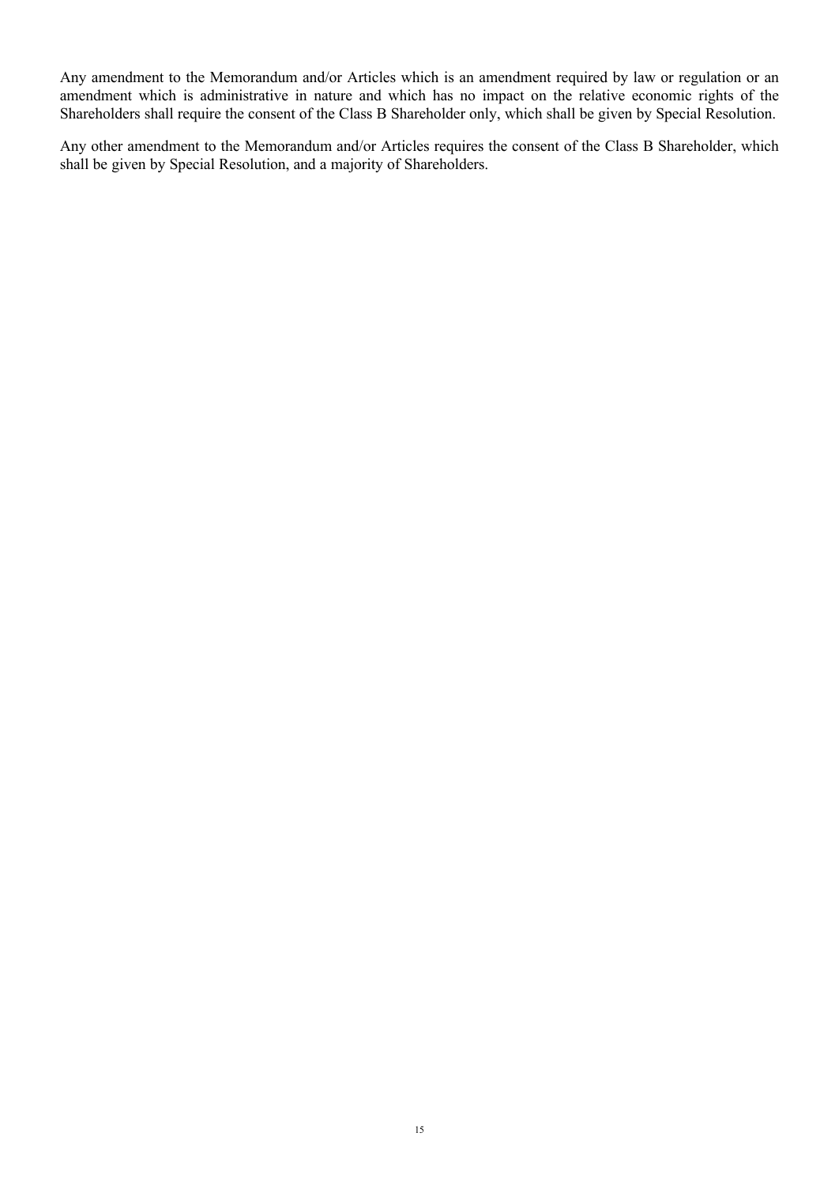Any amendment to the Memorandum and/or Articles which is an amendment required by law or regulation or an amendment which is administrative in nature and which has no impact on the relative economic rights of the Shareholders shall require the consent of the Class B Shareholder only, which shall be given by Special Resolution.

Any other amendment to the Memorandum and/or Articles requires the consent of the Class B Shareholder, which shall be given by Special Resolution, and a majority of Shareholders.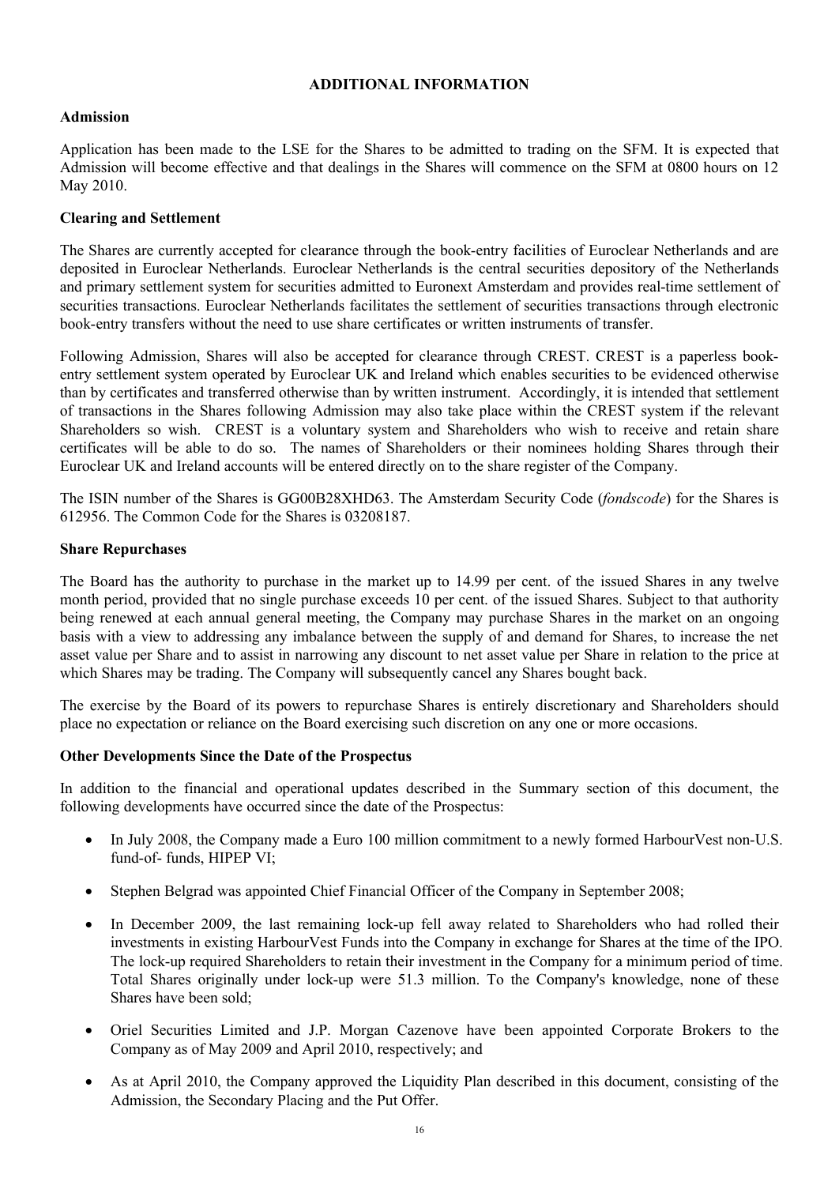#### **ADDITIONAL INFORMATION**

## **Admission**

Application has been made to the LSE for the Shares to be admitted to trading on the SFM. It is expected that Admission will become effective and that dealings in the Shares will commence on the SFM at 0800 hours on 12 May 2010.

# **Clearing and Settlement**

The Shares are currently accepted for clearance through the book-entry facilities of Euroclear Netherlands and are deposited in Euroclear Netherlands. Euroclear Netherlands is the central securities depository of the Netherlands and primary settlement system for securities admitted to Euronext Amsterdam and provides real-time settlement of securities transactions. Euroclear Netherlands facilitates the settlement of securities transactions through electronic book-entry transfers without the need to use share certificates or written instruments of transfer.

Following Admission, Shares will also be accepted for clearance through CREST. CREST is a paperless bookentry settlement system operated by Euroclear UK and Ireland which enables securities to be evidenced otherwise than by certificates and transferred otherwise than by written instrument. Accordingly, it is intended that settlement of transactions in the Shares following Admission may also take place within the CREST system if the relevant Shareholders so wish. CREST is a voluntary system and Shareholders who wish to receive and retain share certificates will be able to do so. The names of Shareholders or their nominees holding Shares through their Euroclear UK and Ireland accounts will be entered directly on to the share register of the Company.

The ISIN number of the Shares is GG00B28XHD63. The Amsterdam Security Code (*fondscode*) for the Shares is 612956. The Common Code for the Shares is 03208187.

#### **Share Repurchases**

The Board has the authority to purchase in the market up to 14.99 per cent. of the issued Shares in any twelve month period, provided that no single purchase exceeds 10 per cent. of the issued Shares. Subject to that authority being renewed at each annual general meeting, the Company may purchase Shares in the market on an ongoing basis with a view to addressing any imbalance between the supply of and demand for Shares, to increase the net asset value per Share and to assist in narrowing any discount to net asset value per Share in relation to the price at which Shares may be trading. The Company will subsequently cancel any Shares bought back.

The exercise by the Board of its powers to repurchase Shares is entirely discretionary and Shareholders should place no expectation or reliance on the Board exercising such discretion on any one or more occasions.

# **Other Developments Since the Date of the Prospectus**

In addition to the financial and operational updates described in the Summary section of this document, the following developments have occurred since the date of the Prospectus:

- In July 2008, the Company made a Euro 100 million commitment to a newly formed HarbourVest non-U.S. fund-of- funds, HIPEP VI;
- · Stephen Belgrad was appointed Chief Financial Officer of the Company in September 2008;
- In December 2009, the last remaining lock-up fell away related to Shareholders who had rolled their investments in existing HarbourVest Funds into the Company in exchange for Shares at the time of the IPO. The lock-up required Shareholders to retain their investment in the Company for a minimum period of time. Total Shares originally under lock-up were 51.3 million. To the Company's knowledge, none of these Shares have been sold;
- · Oriel Securities Limited and J.P. Morgan Cazenove have been appointed Corporate Brokers to the Company as of May 2009 and April 2010, respectively; and
- As at April 2010, the Company approved the Liquidity Plan described in this document, consisting of the Admission, the Secondary Placing and the Put Offer.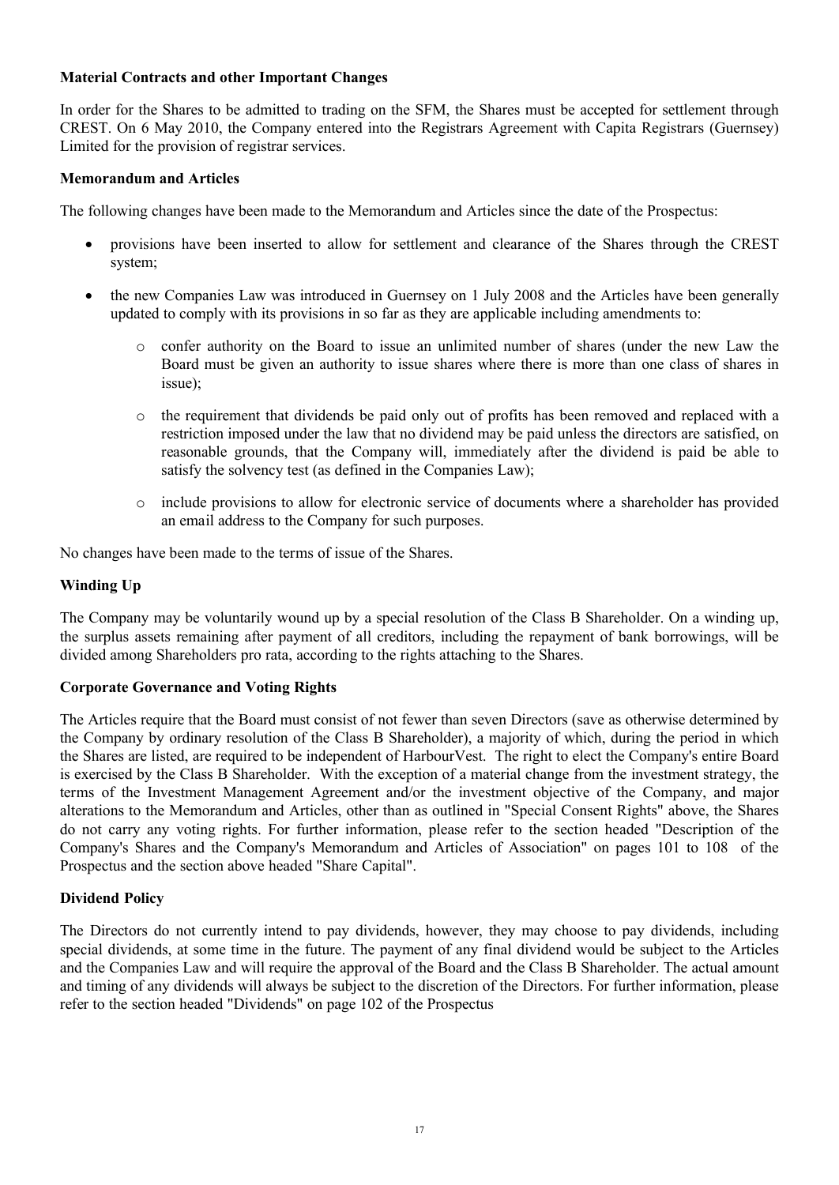### **Material Contracts and other Important Changes**

In order for the Shares to be admitted to trading on the SFM, the Shares must be accepted for settlement through CREST. On 6 May 2010, the Company entered into the Registrars Agreement with Capita Registrars (Guernsey) Limited for the provision of registrar services.

## **Memorandum and Articles**

The following changes have been made to the Memorandum and Articles since the date of the Prospectus:

- · provisions have been inserted to allow for settlement and clearance of the Shares through the CREST system;
- the new Companies Law was introduced in Guernsey on 1 July 2008 and the Articles have been generally updated to comply with its provisions in so far as they are applicable including amendments to:
	- o confer authority on the Board to issue an unlimited number of shares (under the new Law the Board must be given an authority to issue shares where there is more than one class of shares in issue);
	- o the requirement that dividends be paid only out of profits has been removed and replaced with a restriction imposed under the law that no dividend may be paid unless the directors are satisfied, on reasonable grounds, that the Company will, immediately after the dividend is paid be able to satisfy the solvency test (as defined in the Companies Law);
	- o include provisions to allow for electronic service of documents where a shareholder has provided an email address to the Company for such purposes.

No changes have been made to the terms of issue of the Shares.

#### **Winding Up**

The Company may be voluntarily wound up by a special resolution of the Class B Shareholder. On a winding up, the surplus assets remaining after payment of all creditors, including the repayment of bank borrowings, will be divided among Shareholders pro rata, according to the rights attaching to the Shares.

#### **Corporate Governance and Voting Rights**

The Articles require that the Board must consist of not fewer than seven Directors (save as otherwise determined by the Company by ordinary resolution of the Class B Shareholder), a majority of which, during the period in which the Shares are listed, are required to be independent of HarbourVest. The right to elect the Company's entire Board is exercised by the Class B Shareholder. With the exception of a material change from the investment strategy, the terms of the Investment Management Agreement and/or the investment objective of the Company, and major alterations to the Memorandum and Articles, other than as outlined in "Special Consent Rights" above, the Shares do not carry any voting rights. For further information, please refer to the section headed "Description of the Company's Shares and the Company's Memorandum and Articles of Association" on pages 101 to 108 of the Prospectus and the section above headed "Share Capital".

#### **Dividend Policy**

The Directors do not currently intend to pay dividends, however, they may choose to pay dividends, including special dividends, at some time in the future. The payment of any final dividend would be subject to the Articles and the Companies Law and will require the approval of the Board and the Class B Shareholder. The actual amount and timing of any dividends will always be subject to the discretion of the Directors. For further information, please refer to the section headed "Dividends" on page 102 of the Prospectus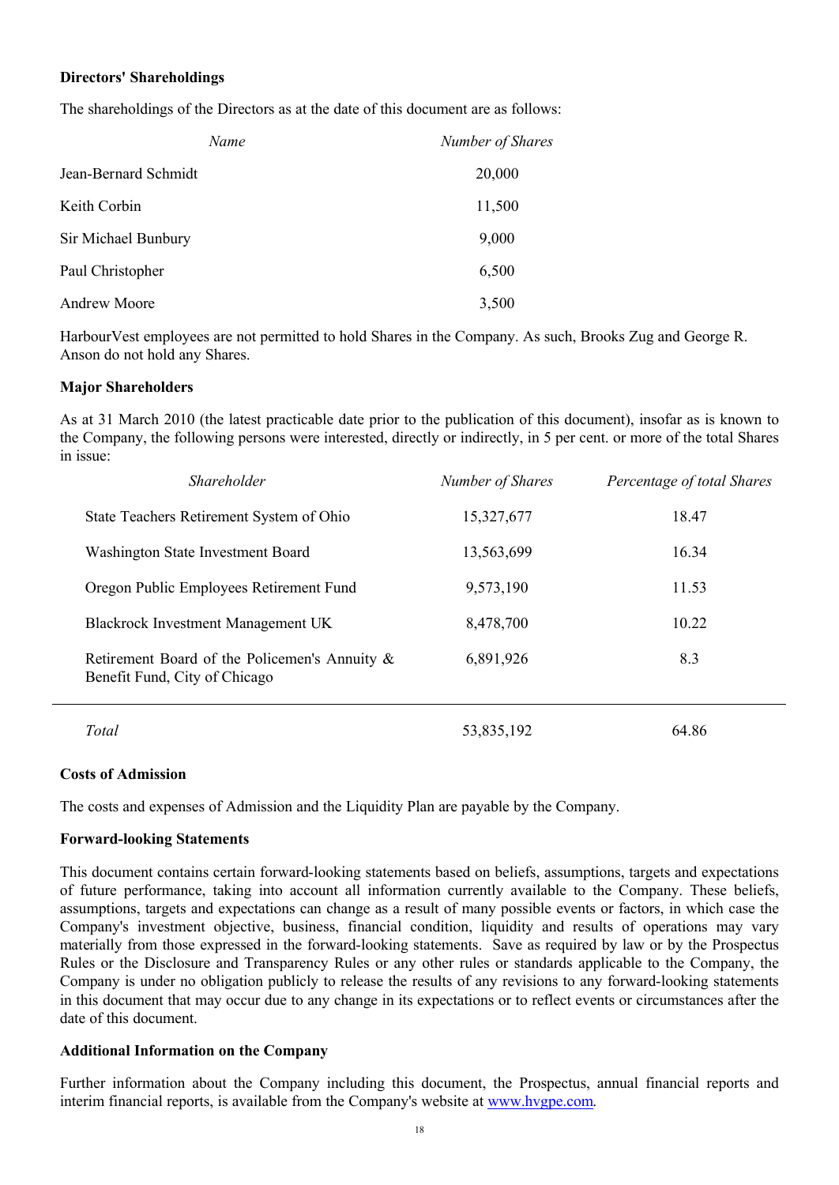## **Directors' Shareholdings**

The shareholdings of the Directors as at the date of this document are as follows:

| Name                 | Number of Shares |
|----------------------|------------------|
| Jean-Bernard Schmidt | 20,000           |
| Keith Corbin         | 11,500           |
| Sir Michael Bunbury  | 9,000            |
| Paul Christopher     | 6,500            |
| <b>Andrew Moore</b>  | 3,500            |

HarbourVest employees are not permitted to hold Shares in the Company. As such, Brooks Zug and George R. Anson do not hold any Shares.

#### **Major Shareholders**

As at 31 March 2010 (the latest practicable date prior to the publication of this document), insofar as is known to the Company, the following persons were interested, directly or indirectly, in 5 per cent. or more of the total Shares in issue:

| <i>Shareholder</i>                                                             | Number of Shares | Percentage of total Shares |
|--------------------------------------------------------------------------------|------------------|----------------------------|
| State Teachers Retirement System of Ohio                                       | 15,327,677       | 18.47                      |
| Washington State Investment Board                                              | 13,563,699       | 16.34                      |
| Oregon Public Employees Retirement Fund                                        | 9,573,190        | 11.53                      |
| <b>Blackrock Investment Management UK</b>                                      | 8,478,700        | 10.22                      |
| Retirement Board of the Policemen's Annuity &<br>Benefit Fund, City of Chicago | 6,891,926        | 8.3                        |
| Total                                                                          | 53,835,192       | 64.86                      |

#### **Costs of Admission**

The costs and expenses of Admission and the Liquidity Plan are payable by the Company.

#### **Forward-looking Statements**

This document contains certain forward-looking statements based on beliefs, assumptions, targets and expectations of future performance, taking into account all information currently available to the Company. These beliefs, assumptions, targets and expectations can change as a result of many possible events or factors, in which case the Company's investment objective, business, financial condition, liquidity and results of operations may vary materially from those expressed in the forward-looking statements. Save as required by law or by the Prospectus Rules or the Disclosure and Transparency Rules or any other rules or standards applicable to the Company, the Company is under no obligation publicly to release the results of any revisions to any forward-looking statements in this document that may occur due to any change in its expectations or to reflect events or circumstances after the date of this document.

#### **Additional Information on the Company**

Further information about the Company including this document, the Prospectus, annual financial reports and interim financial reports, is available from the Company's website at [www.hvgpe.com.](www.hvgpe.com)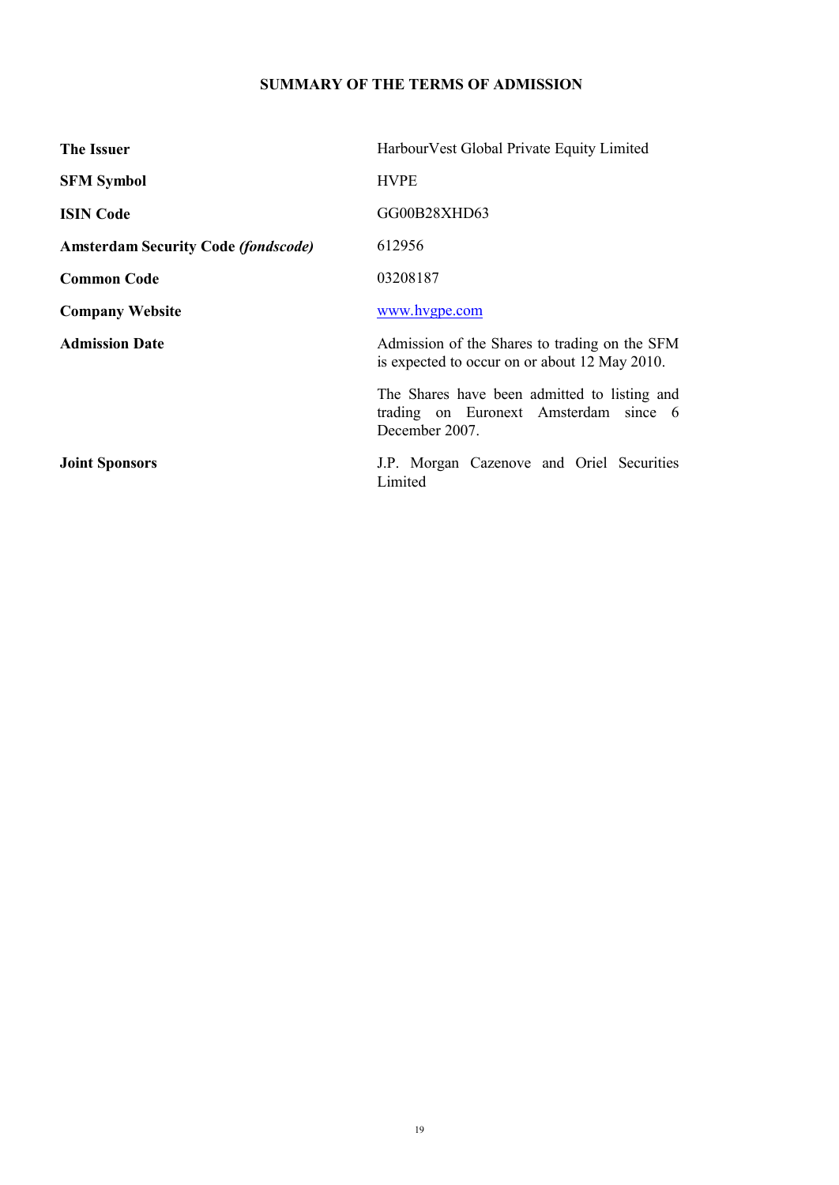# **SUMMARY OF THE TERMS OF ADMISSION**

| The Issuer                                 | Harbour Vest Global Private Equity Limited                                                              |
|--------------------------------------------|---------------------------------------------------------------------------------------------------------|
| <b>SFM Symbol</b>                          | <b>HVPE</b>                                                                                             |
| <b>ISIN Code</b>                           | GG00B28XHD63                                                                                            |
| <b>Amsterdam Security Code (fondscode)</b> | 612956                                                                                                  |
| <b>Common Code</b>                         | 03208187                                                                                                |
| <b>Company Website</b>                     | www.hvgpe.com                                                                                           |
| <b>Admission Date</b>                      | Admission of the Shares to trading on the SFM<br>is expected to occur on or about 12 May 2010.          |
|                                            | The Shares have been admitted to listing and<br>trading on Euronext Amsterdam since 6<br>December 2007. |
| <b>Joint Sponsors</b>                      | J.P. Morgan Cazenove and Oriel Securities<br>Limited                                                    |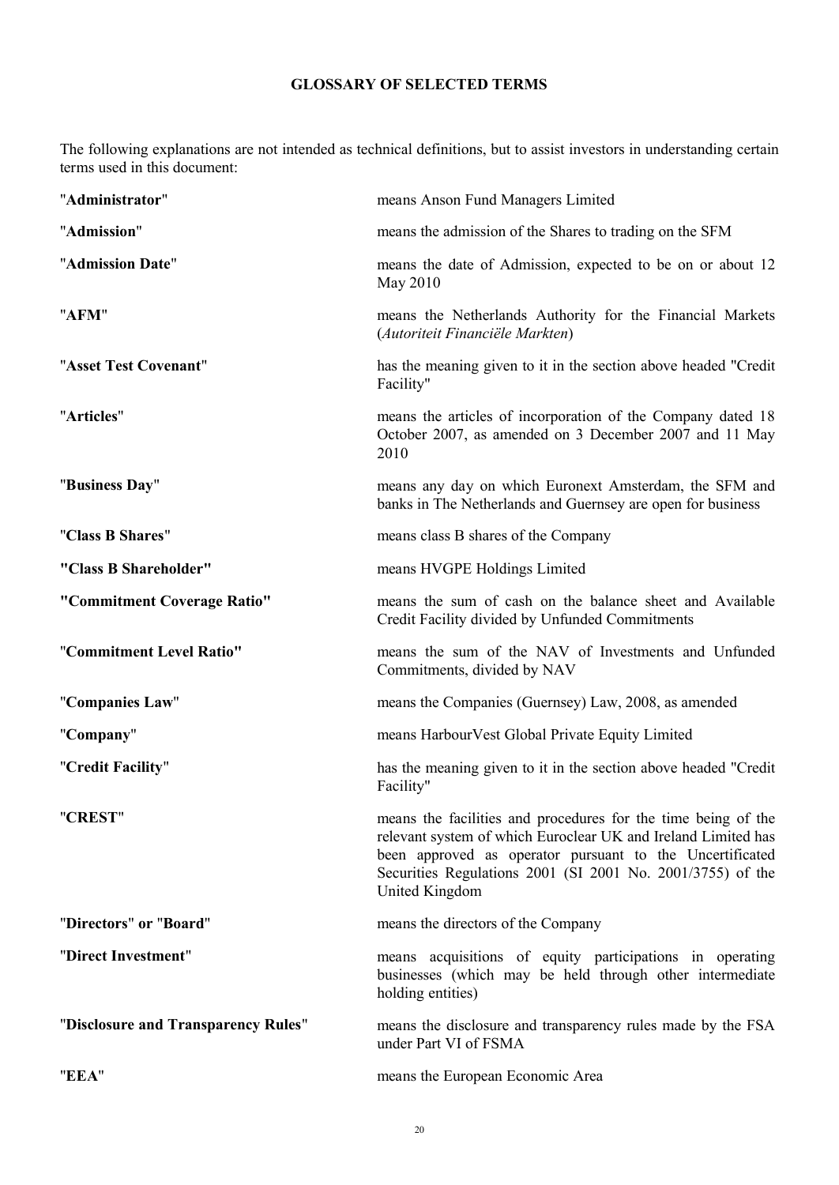# **GLOSSARY OF SELECTED TERMS**

The following explanations are not intended as technical definitions, but to assist investors in understanding certain terms used in this document:

| "Administrator"                     | means Anson Fund Managers Limited                                                                                                                                                                                                                                          |
|-------------------------------------|----------------------------------------------------------------------------------------------------------------------------------------------------------------------------------------------------------------------------------------------------------------------------|
| "Admission"                         | means the admission of the Shares to trading on the SFM                                                                                                                                                                                                                    |
| "Admission Date"                    | means the date of Admission, expected to be on or about 12<br>May 2010                                                                                                                                                                                                     |
| "AFM"                               | means the Netherlands Authority for the Financial Markets<br>(Autoriteit Financiële Markten)                                                                                                                                                                               |
| "Asset Test Covenant"               | has the meaning given to it in the section above headed "Credit<br>Facility"                                                                                                                                                                                               |
| "Articles"                          | means the articles of incorporation of the Company dated 18<br>October 2007, as amended on 3 December 2007 and 11 May<br>2010                                                                                                                                              |
| "Business Day"                      | means any day on which Euronext Amsterdam, the SFM and<br>banks in The Netherlands and Guernsey are open for business                                                                                                                                                      |
| "Class B Shares"                    | means class B shares of the Company                                                                                                                                                                                                                                        |
| "Class B Shareholder"               | means HVGPE Holdings Limited                                                                                                                                                                                                                                               |
| "Commitment Coverage Ratio"         | means the sum of cash on the balance sheet and Available<br>Credit Facility divided by Unfunded Commitments                                                                                                                                                                |
| "Commitment Level Ratio"            | means the sum of the NAV of Investments and Unfunded<br>Commitments, divided by NAV                                                                                                                                                                                        |
| "Companies Law"                     | means the Companies (Guernsey) Law, 2008, as amended                                                                                                                                                                                                                       |
| "Company"                           | means HarbourVest Global Private Equity Limited                                                                                                                                                                                                                            |
| "Credit Facility"                   | has the meaning given to it in the section above headed "Credit"<br>Facility"                                                                                                                                                                                              |
| "CREST"                             | means the facilities and procedures for the time being of the<br>relevant system of which Euroclear UK and Ireland Limited has<br>been approved as operator pursuant to the Uncertificated<br>Securities Regulations 2001 (SI 2001 No. 2001/3755) of the<br>United Kingdom |
| "Directors" or "Board"              | means the directors of the Company                                                                                                                                                                                                                                         |
| "Direct Investment"                 | means acquisitions of equity participations in operating<br>businesses (which may be held through other intermediate<br>holding entities)                                                                                                                                  |
| "Disclosure and Transparency Rules" | means the disclosure and transparency rules made by the FSA<br>under Part VI of FSMA                                                                                                                                                                                       |
| "EEA"                               | means the European Economic Area                                                                                                                                                                                                                                           |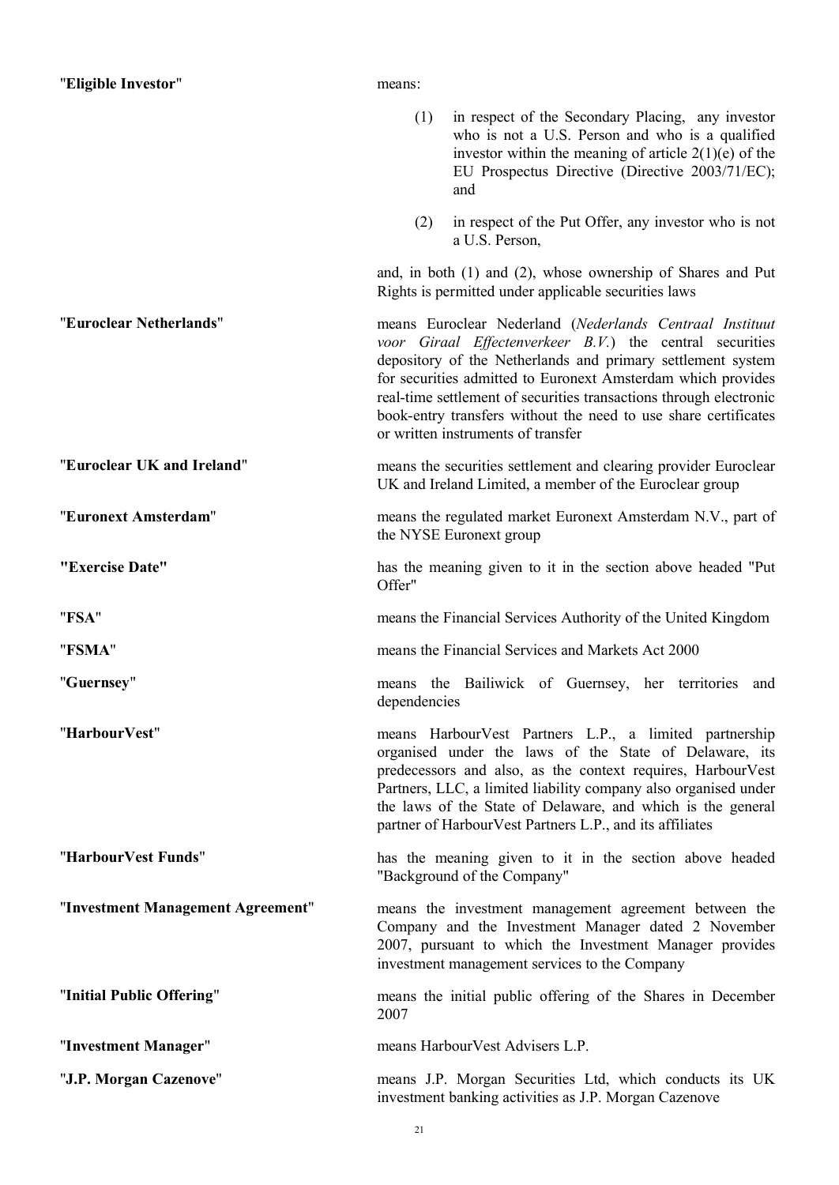| "Eligible Investor"               | means:       |                                                                                                                                                                                                                                                                                                                                                                                                                                    |
|-----------------------------------|--------------|------------------------------------------------------------------------------------------------------------------------------------------------------------------------------------------------------------------------------------------------------------------------------------------------------------------------------------------------------------------------------------------------------------------------------------|
|                                   | (1)          | in respect of the Secondary Placing, any investor<br>who is not a U.S. Person and who is a qualified<br>investor within the meaning of article $2(1)(e)$ of the<br>EU Prospectus Directive (Directive 2003/71/EC);<br>and                                                                                                                                                                                                          |
|                                   | (2)          | in respect of the Put Offer, any investor who is not<br>a U.S. Person,                                                                                                                                                                                                                                                                                                                                                             |
|                                   |              | and, in both (1) and (2), whose ownership of Shares and Put<br>Rights is permitted under applicable securities laws                                                                                                                                                                                                                                                                                                                |
| "Euroclear Netherlands"           |              | means Euroclear Nederland (Nederlands Centraal Instituut<br>voor Giraal Effectenverkeer B.V.) the central securities<br>depository of the Netherlands and primary settlement system<br>for securities admitted to Euronext Amsterdam which provides<br>real-time settlement of securities transactions through electronic<br>book-entry transfers without the need to use share certificates<br>or written instruments of transfer |
| "Euroclear UK and Ireland"        |              | means the securities settlement and clearing provider Euroclear<br>UK and Ireland Limited, a member of the Euroclear group                                                                                                                                                                                                                                                                                                         |
| "Euronext Amsterdam"              |              | means the regulated market Euronext Amsterdam N.V., part of<br>the NYSE Euronext group                                                                                                                                                                                                                                                                                                                                             |
| "Exercise Date"                   | Offer"       | has the meaning given to it in the section above headed "Put                                                                                                                                                                                                                                                                                                                                                                       |
| "FSA"                             |              | means the Financial Services Authority of the United Kingdom                                                                                                                                                                                                                                                                                                                                                                       |
| "FSMA"                            |              | means the Financial Services and Markets Act 2000                                                                                                                                                                                                                                                                                                                                                                                  |
| "Guernsey"                        | dependencies | means the Bailiwick of Guernsey, her territories and                                                                                                                                                                                                                                                                                                                                                                               |
| "HarbourVest"                     |              | means HarbourVest Partners L.P., a limited partnership<br>organised under the laws of the State of Delaware, its<br>predecessors and also, as the context requires, HarbourVest<br>Partners, LLC, a limited liability company also organised under<br>the laws of the State of Delaware, and which is the general<br>partner of HarbourVest Partners L.P., and its affiliates                                                      |
| "HarbourVest Funds"               |              | has the meaning given to it in the section above headed<br>"Background of the Company"                                                                                                                                                                                                                                                                                                                                             |
| "Investment Management Agreement" |              | means the investment management agreement between the<br>Company and the Investment Manager dated 2 November<br>2007, pursuant to which the Investment Manager provides<br>investment management services to the Company                                                                                                                                                                                                           |
| "Initial Public Offering"         | 2007         | means the initial public offering of the Shares in December                                                                                                                                                                                                                                                                                                                                                                        |
| "Investment Manager"              |              | means Harbour Vest Advisers L.P.                                                                                                                                                                                                                                                                                                                                                                                                   |
| "J.P. Morgan Cazenove"            |              | means J.P. Morgan Securities Ltd, which conducts its UK<br>investment banking activities as J.P. Morgan Cazenove                                                                                                                                                                                                                                                                                                                   |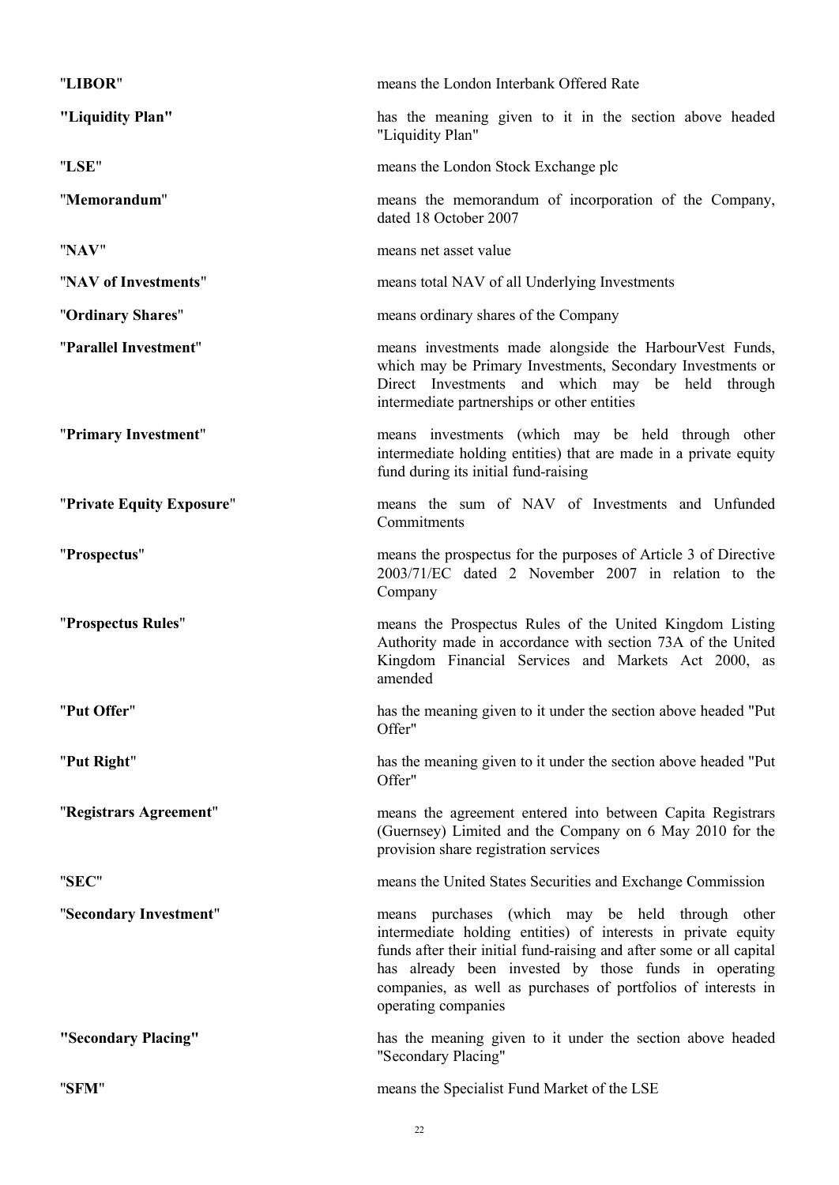| "LIBOR"                   | means the London Interbank Offered Rate                                                                                                                                                                                                                                                                                                    |
|---------------------------|--------------------------------------------------------------------------------------------------------------------------------------------------------------------------------------------------------------------------------------------------------------------------------------------------------------------------------------------|
| "Liquidity Plan"          | has the meaning given to it in the section above headed<br>"Liquidity Plan"                                                                                                                                                                                                                                                                |
| "LSE"                     | means the London Stock Exchange plc                                                                                                                                                                                                                                                                                                        |
| "Memorandum"              | means the memorandum of incorporation of the Company,<br>dated 18 October 2007                                                                                                                                                                                                                                                             |
| "NAV"                     | means net asset value                                                                                                                                                                                                                                                                                                                      |
| "NAV of Investments"      | means total NAV of all Underlying Investments                                                                                                                                                                                                                                                                                              |
| "Ordinary Shares"         | means ordinary shares of the Company                                                                                                                                                                                                                                                                                                       |
| "Parallel Investment"     | means investments made alongside the HarbourVest Funds,<br>which may be Primary Investments, Secondary Investments or<br>Direct Investments and which may be held through<br>intermediate partnerships or other entities                                                                                                                   |
| "Primary Investment"      | means investments (which may be held through other<br>intermediate holding entities) that are made in a private equity<br>fund during its initial fund-raising                                                                                                                                                                             |
| "Private Equity Exposure" | means the sum of NAV of Investments and Unfunded<br>Commitments                                                                                                                                                                                                                                                                            |
| "Prospectus"              | means the prospectus for the purposes of Article 3 of Directive<br>2003/71/EC dated 2 November 2007 in relation to the<br>Company                                                                                                                                                                                                          |
| "Prospectus Rules"        | means the Prospectus Rules of the United Kingdom Listing<br>Authority made in accordance with section 73A of the United<br>Kingdom Financial Services and Markets Act 2000, as<br>amended                                                                                                                                                  |
| "Put Offer"               | has the meaning given to it under the section above headed "Put<br>Offer"                                                                                                                                                                                                                                                                  |
| "Put Right"               | has the meaning given to it under the section above headed "Put<br>Offer"                                                                                                                                                                                                                                                                  |
| "Registrars Agreement"    | means the agreement entered into between Capita Registrars<br>(Guernsey) Limited and the Company on 6 May 2010 for the<br>provision share registration services                                                                                                                                                                            |
| "SEC"                     | means the United States Securities and Exchange Commission                                                                                                                                                                                                                                                                                 |
| "Secondary Investment"    | means purchases (which may be held through other<br>intermediate holding entities) of interests in private equity<br>funds after their initial fund-raising and after some or all capital<br>has already been invested by those funds in operating<br>companies, as well as purchases of portfolios of interests in<br>operating companies |
| "Secondary Placing"       | has the meaning given to it under the section above headed<br>"Secondary Placing"                                                                                                                                                                                                                                                          |
| "SFM"                     | means the Specialist Fund Market of the LSE                                                                                                                                                                                                                                                                                                |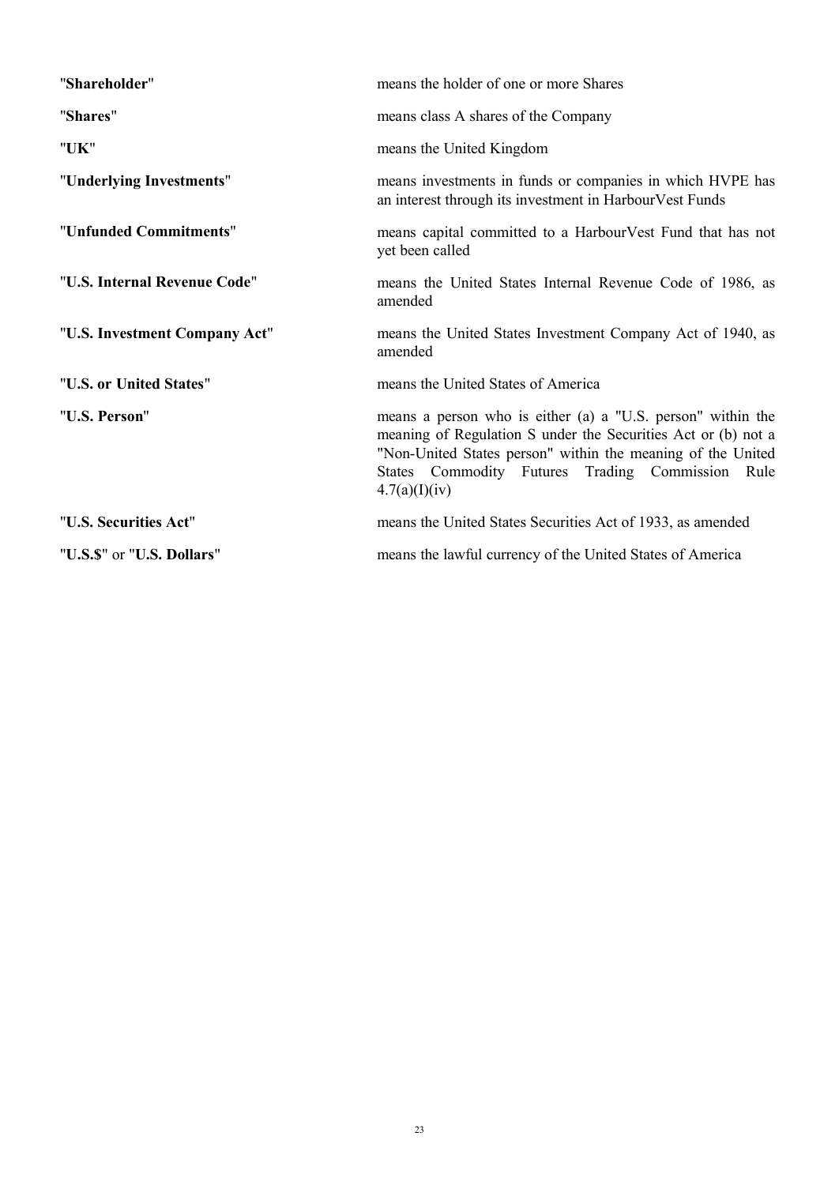| "Shareholder"                 | means the holder of one or more Shares                                                                                                                                                                                                                              |
|-------------------------------|---------------------------------------------------------------------------------------------------------------------------------------------------------------------------------------------------------------------------------------------------------------------|
| "Shares"                      | means class A shares of the Company                                                                                                                                                                                                                                 |
| "UK"                          | means the United Kingdom                                                                                                                                                                                                                                            |
| "Underlying Investments"      | means investments in funds or companies in which HVPE has<br>an interest through its investment in HarbourVest Funds                                                                                                                                                |
| "Unfunded Commitments"        | means capital committed to a HarbourVest Fund that has not<br>yet been called                                                                                                                                                                                       |
| "U.S. Internal Revenue Code"  | means the United States Internal Revenue Code of 1986, as<br>amended                                                                                                                                                                                                |
| "U.S. Investment Company Act" | means the United States Investment Company Act of 1940, as<br>amended                                                                                                                                                                                               |
| "U.S. or United States"       | means the United States of America                                                                                                                                                                                                                                  |
| "U.S. Person"                 | means a person who is either (a) a "U.S. person" within the<br>meaning of Regulation S under the Securities Act or (b) not a<br>"Non-United States person" within the meaning of the United<br>States Commodity Futures Trading Commission<br>Rule<br>4.7(a)(I)(iv) |
| "U.S. Securities Act"         | means the United States Securities Act of 1933, as amended                                                                                                                                                                                                          |
| "U.S.\$" or "U.S. Dollars"    | means the lawful currency of the United States of America                                                                                                                                                                                                           |